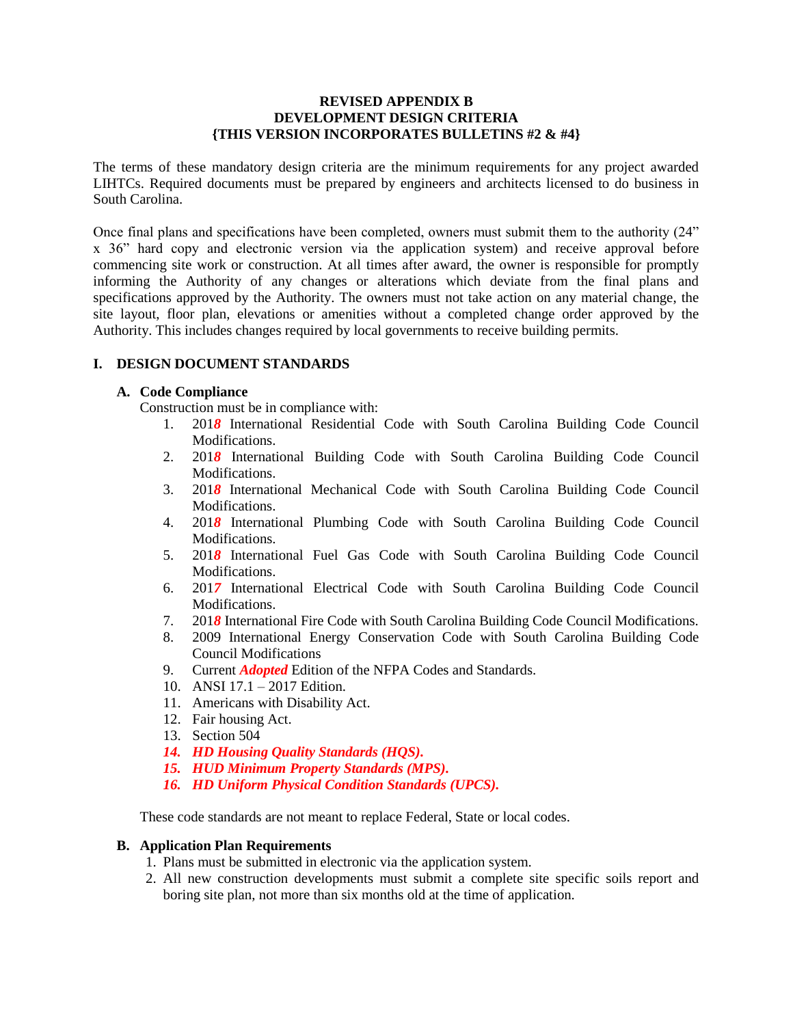#### **REVISED APPENDIX B DEVELOPMENT DESIGN CRITERIA {THIS VERSION INCORPORATES BULLETINS #2 & #4}**

The terms of these mandatory design criteria are the minimum requirements for any project awarded LIHTCs. Required documents must be prepared by engineers and architects licensed to do business in South Carolina.

Once final plans and specifications have been completed, owners must submit them to the authority (24" x 36" hard copy and electronic version via the application system) and receive approval before commencing site work or construction. At all times after award, the owner is responsible for promptly informing the Authority of any changes or alterations which deviate from the final plans and specifications approved by the Authority. The owners must not take action on any material change, the site layout, floor plan, elevations or amenities without a completed change order approved by the Authority. This includes changes required by local governments to receive building permits.

### **I. DESIGN DOCUMENT STANDARDS**

### **A. Code Compliance**

Construction must be in compliance with:

- 1. 201*8* International Residential Code with South Carolina Building Code Council Modifications.
- 2. 201*8* International Building Code with South Carolina Building Code Council Modifications.
- 3. 201*8* International Mechanical Code with South Carolina Building Code Council Modifications.
- 4. 201*8* International Plumbing Code with South Carolina Building Code Council Modifications.
- 5. 201*8* International Fuel Gas Code with South Carolina Building Code Council Modifications.
- 6. 201*7* International Electrical Code with South Carolina Building Code Council Modifications.
- 7. 201*8* International Fire Code with South Carolina Building Code Council Modifications.
- 8. 2009 International Energy Conservation Code with South Carolina Building Code Council Modifications
- 9. Current *Adopted* Edition of the NFPA Codes and Standards.
- 10. ANSI 17.1 2017 Edition.
- 11. Americans with Disability Act.
- 12. Fair housing Act.
- 13. Section 504
- *14. HD Housing Quality Standards (HQS).*
- *15. HUD Minimum Property Standards (MPS).*
- *16. HD Uniform Physical Condition Standards (UPCS).*

These code standards are not meant to replace Federal, State or local codes.

#### **B. Application Plan Requirements**

- 1. Plans must be submitted in electronic via the application system.
- 2. All new construction developments must submit a complete site specific soils report and boring site plan, not more than six months old at the time of application.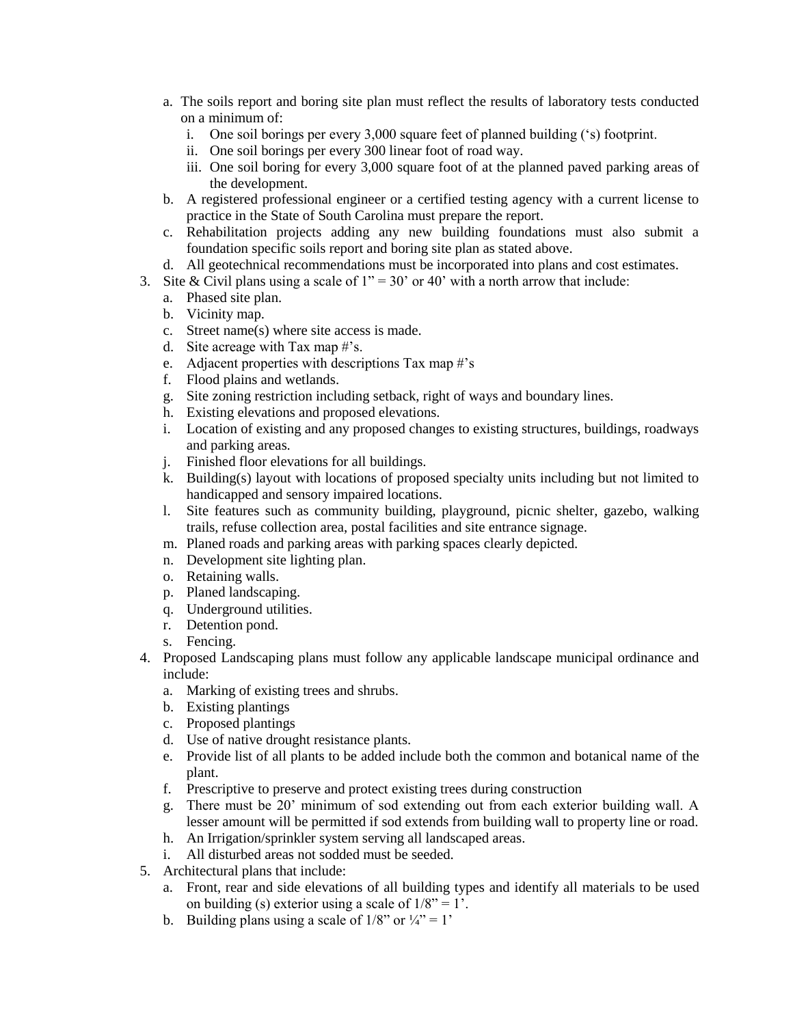- a. The soils report and boring site plan must reflect the results of laboratory tests conducted on a minimum of:
	- i. One soil borings per every 3,000 square feet of planned building ('s) footprint.
	- ii. One soil borings per every 300 linear foot of road way.
	- iii. One soil boring for every 3,000 square foot of at the planned paved parking areas of the development.
- b. A registered professional engineer or a certified testing agency with a current license to practice in the State of South Carolina must prepare the report.
- c. Rehabilitation projects adding any new building foundations must also submit a foundation specific soils report and boring site plan as stated above.
- d. All geotechnical recommendations must be incorporated into plans and cost estimates.
- 3. Site & Civil plans using a scale of  $1" = 30"$  or 40" with a north arrow that include:
	- a. Phased site plan.
	- b. Vicinity map.
	- c. Street name(s) where site access is made.
	- d. Site acreage with Tax map #'s.
	- e. Adjacent properties with descriptions Tax map #'s
	- f. Flood plains and wetlands.
	- g. Site zoning restriction including setback, right of ways and boundary lines.
	- h. Existing elevations and proposed elevations.
	- i. Location of existing and any proposed changes to existing structures, buildings, roadways and parking areas.
	- j. Finished floor elevations for all buildings.
	- k. Building(s) layout with locations of proposed specialty units including but not limited to handicapped and sensory impaired locations.
	- l. Site features such as community building, playground, picnic shelter, gazebo, walking trails, refuse collection area, postal facilities and site entrance signage.
	- m. Planed roads and parking areas with parking spaces clearly depicted.
	- n. Development site lighting plan.
	- o. Retaining walls.
	- p. Planed landscaping.
	- q. Underground utilities.
	- r. Detention pond.
	- s. Fencing.
- 4. Proposed Landscaping plans must follow any applicable landscape municipal ordinance and include:
	- a. Marking of existing trees and shrubs.
	- b. Existing plantings
	- c. Proposed plantings
	- d. Use of native drought resistance plants.
	- e. Provide list of all plants to be added include both the common and botanical name of the plant.
	- f. Prescriptive to preserve and protect existing trees during construction
	- g. There must be 20' minimum of sod extending out from each exterior building wall. A lesser amount will be permitted if sod extends from building wall to property line or road.
	- h. An Irrigation/sprinkler system serving all landscaped areas.
	- i. All disturbed areas not sodded must be seeded.
- 5. Architectural plans that include:
	- a. Front, rear and side elevations of all building types and identify all materials to be used on building (s) exterior using a scale of  $1/8$ " = 1'.
	- b. Building plans using a scale of  $1/8$ " or  $\frac{1}{4}$ " = 1'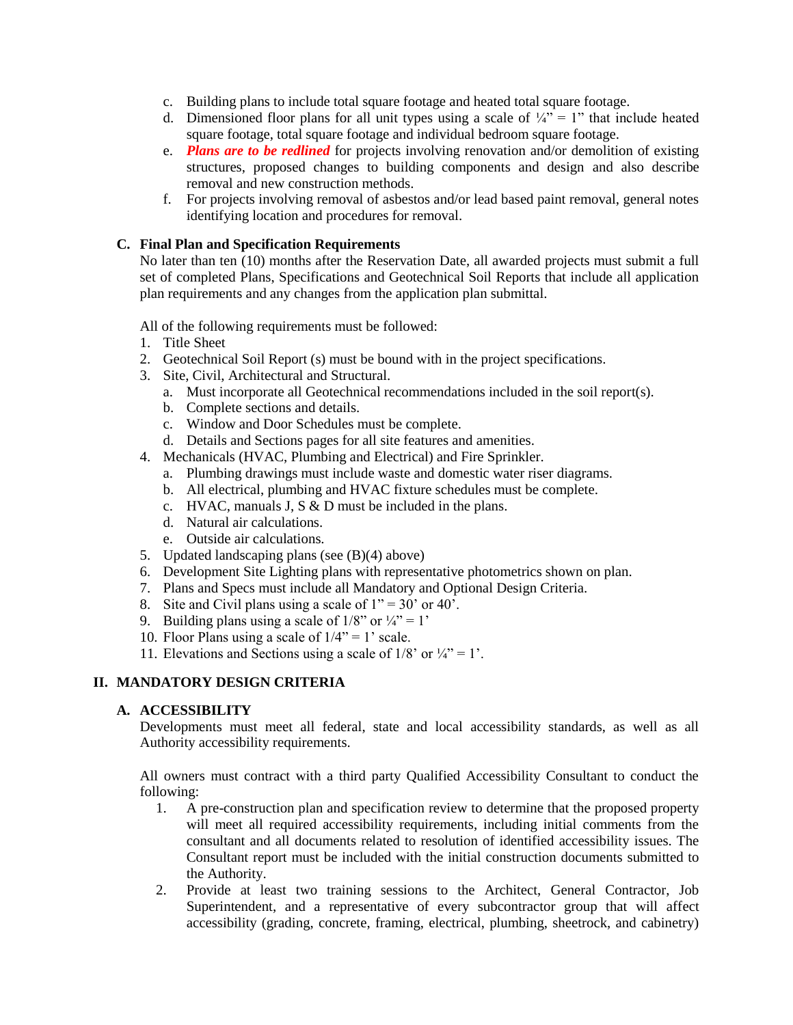- c. Building plans to include total square footage and heated total square footage.
- d. Dimensioned floor plans for all unit types using a scale of  $\frac{1}{4}$ " = 1" that include heated square footage, total square footage and individual bedroom square footage.
- e. *Plans are to be redlined* for projects involving renovation and/or demolition of existing structures, proposed changes to building components and design and also describe removal and new construction methods.
- f. For projects involving removal of asbestos and/or lead based paint removal, general notes identifying location and procedures for removal.

#### **C. Final Plan and Specification Requirements**

No later than ten (10) months after the Reservation Date, all awarded projects must submit a full set of completed Plans, Specifications and Geotechnical Soil Reports that include all application plan requirements and any changes from the application plan submittal.

All of the following requirements must be followed:

- 1. Title Sheet
- 2. Geotechnical Soil Report (s) must be bound with in the project specifications.
- 3. Site, Civil, Architectural and Structural.
	- a. Must incorporate all Geotechnical recommendations included in the soil report(s).
	- b. Complete sections and details.
	- c. Window and Door Schedules must be complete.
	- d. Details and Sections pages for all site features and amenities.
- 4. Mechanicals (HVAC, Plumbing and Electrical) and Fire Sprinkler.
	- a. Plumbing drawings must include waste and domestic water riser diagrams.
	- b. All electrical, plumbing and HVAC fixture schedules must be complete.
	- c. HVAC, manuals J, S & D must be included in the plans.
	- d. Natural air calculations.
	- e. Outside air calculations.
- 5. Updated landscaping plans (see (B)(4) above)
- 6. Development Site Lighting plans with representative photometrics shown on plan.
- 7. Plans and Specs must include all Mandatory and Optional Design Criteria.
- 8. Site and Civil plans using a scale of  $1" = 30'$  or 40'.
- 9. Building plans using a scale of  $1/8$ " or  $\frac{1}{4}$ " = 1'
- 10. Floor Plans using a scale of  $1/4$ " = 1' scale.
- 11. Elevations and Sections using a scale of  $1/8$ ' or  $\frac{1}{4}$ ' = 1'.

### **II. MANDATORY DESIGN CRITERIA**

#### **A. ACCESSIBILITY**

Developments must meet all federal, state and local accessibility standards, as well as all Authority accessibility requirements.

All owners must contract with a third party Qualified Accessibility Consultant to conduct the following:

- 1. A pre-construction plan and specification review to determine that the proposed property will meet all required accessibility requirements, including initial comments from the consultant and all documents related to resolution of identified accessibility issues. The Consultant report must be included with the initial construction documents submitted to the Authority.
- 2. Provide at least two training sessions to the Architect, General Contractor, Job Superintendent, and a representative of every subcontractor group that will affect accessibility (grading, concrete, framing, electrical, plumbing, sheetrock, and cabinetry)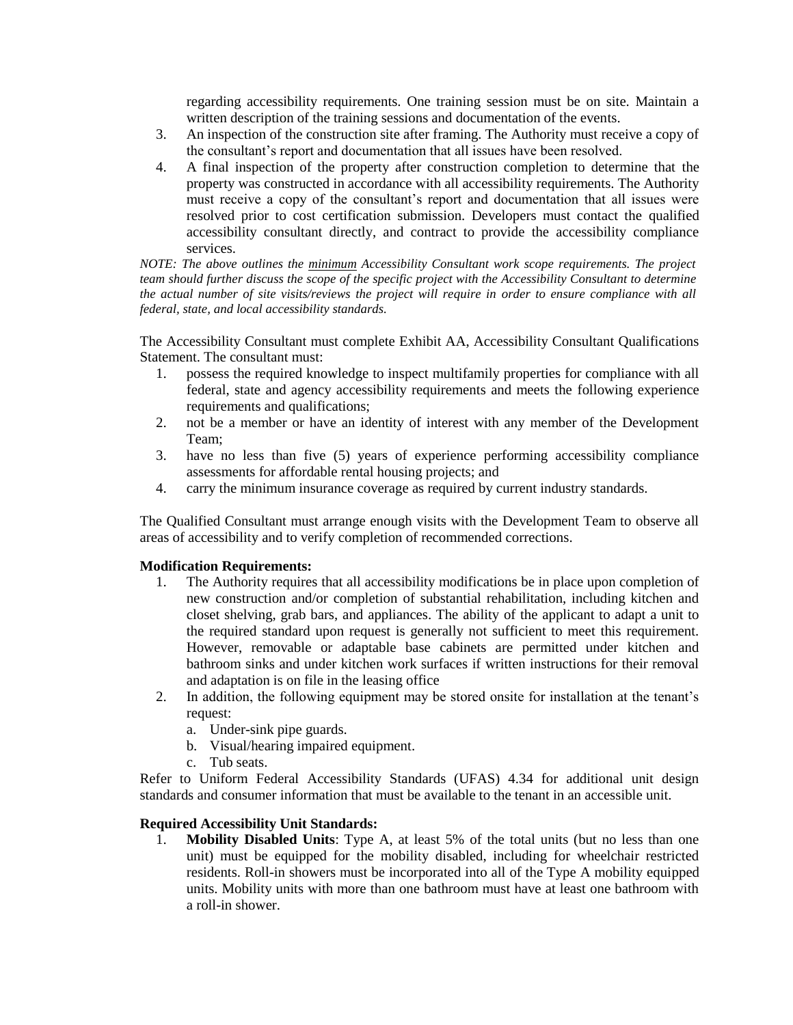regarding accessibility requirements. One training session must be on site. Maintain a written description of the training sessions and documentation of the events.

- 3. An inspection of the construction site after framing. The Authority must receive a copy of the consultant's report and documentation that all issues have been resolved.
- 4. A final inspection of the property after construction completion to determine that the property was constructed in accordance with all accessibility requirements. The Authority must receive a copy of the consultant's report and documentation that all issues were resolved prior to cost certification submission. Developers must contact the qualified accessibility consultant directly, and contract to provide the accessibility compliance services.

*NOTE: The above outlines the minimum Accessibility Consultant work scope requirements. The project team should further discuss the scope of the specific project with the Accessibility Consultant to determine the actual number of site visits/reviews the project will require in order to ensure compliance with all federal, state, and local accessibility standards.*

The Accessibility Consultant must complete Exhibit AA, Accessibility Consultant Qualifications Statement. The consultant must:

- 1. possess the required knowledge to inspect multifamily properties for compliance with all federal, state and agency accessibility requirements and meets the following experience requirements and qualifications;
- 2. not be a member or have an identity of interest with any member of the Development Team;
- 3. have no less than five (5) years of experience performing accessibility compliance assessments for affordable rental housing projects; and
- 4. carry the minimum insurance coverage as required by current industry standards.

The Qualified Consultant must arrange enough visits with the Development Team to observe all areas of accessibility and to verify completion of recommended corrections.

### **Modification Requirements:**

- 1. The Authority requires that all accessibility modifications be in place upon completion of new construction and/or completion of substantial rehabilitation, including kitchen and closet shelving, grab bars, and appliances. The ability of the applicant to adapt a unit to the required standard upon request is generally not sufficient to meet this requirement. However, removable or adaptable base cabinets are permitted under kitchen and bathroom sinks and under kitchen work surfaces if written instructions for their removal and adaptation is on file in the leasing office
- 2. In addition, the following equipment may be stored onsite for installation at the tenant's request:
	- a. Under-sink pipe guards.
	- b. Visual/hearing impaired equipment.
	- c. Tub seats.

Refer to Uniform Federal Accessibility Standards (UFAS) 4.34 for additional unit design standards and consumer information that must be available to the tenant in an accessible unit.

### **Required Accessibility Unit Standards:**

1. **Mobility Disabled Units**: Type A, at least 5% of the total units (but no less than one unit) must be equipped for the mobility disabled, including for wheelchair restricted residents. Roll-in showers must be incorporated into all of the Type A mobility equipped units. Mobility units with more than one bathroom must have at least one bathroom with a roll-in shower.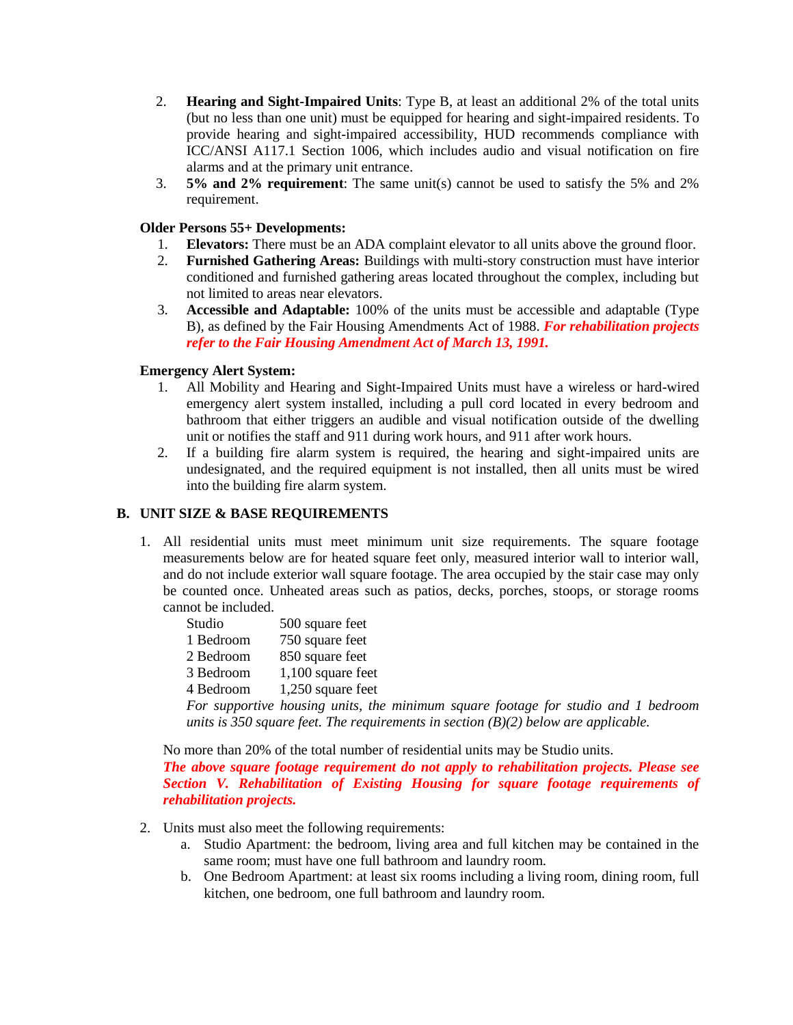- 2. **Hearing and Sight-Impaired Units**: Type B, at least an additional 2% of the total units (but no less than one unit) must be equipped for hearing and sight-impaired residents. To provide hearing and sight-impaired accessibility, HUD recommends compliance with ICC/ANSI A117.1 Section 1006, which includes audio and visual notification on fire alarms and at the primary unit entrance.
- 3. **5% and 2% requirement**: The same unit(s) cannot be used to satisfy the 5% and 2% requirement.

### **Older Persons 55+ Developments:**

- 1. **Elevators:** There must be an ADA complaint elevator to all units above the ground floor.
- 2. **Furnished Gathering Areas:** Buildings with multi-story construction must have interior conditioned and furnished gathering areas located throughout the complex, including but not limited to areas near elevators.
- 3. **Accessible and Adaptable:** 100% of the units must be accessible and adaptable (Type B), as defined by the Fair Housing Amendments Act of 1988. *For rehabilitation projects refer to the Fair Housing Amendment Act of March 13, 1991.*

### **Emergency Alert System:**

- 1. All Mobility and Hearing and Sight-Impaired Units must have a wireless or hard-wired emergency alert system installed, including a pull cord located in every bedroom and bathroom that either triggers an audible and visual notification outside of the dwelling unit or notifies the staff and 911 during work hours, and 911 after work hours.
- 2. If a building fire alarm system is required, the hearing and sight-impaired units are undesignated, and the required equipment is not installed, then all units must be wired into the building fire alarm system.

### **B. UNIT SIZE & BASE REQUIREMENTS**

1. All residential units must meet minimum unit size requirements. The square footage measurements below are for heated square feet only, measured interior wall to interior wall, and do not include exterior wall square footage. The area occupied by the stair case may only be counted once. Unheated areas such as patios, decks, porches, stoops, or storage rooms cannot be included.

| Studio    | 500 square feet                  |
|-----------|----------------------------------|
| 1 Bedroom | 750 square feet                  |
| 2 Bedroom | 850 square feet                  |
| 3 Bedroom | 1,100 square feet                |
| 4 Bedroom | 1,250 square feet                |
|           | For supportive housing units, th |

*For supportive housing units, the minimum square footage for studio and 1 bedroom units is 350 square feet. The requirements in section (B)(2) below are applicable.*

No more than 20% of the total number of residential units may be Studio units.

*The above square footage requirement do not apply to rehabilitation projects. Please see Section V. Rehabilitation of Existing Housing for square footage requirements of rehabilitation projects.*

- 2. Units must also meet the following requirements:
	- a. Studio Apartment: the bedroom, living area and full kitchen may be contained in the same room; must have one full bathroom and laundry room.
	- b. One Bedroom Apartment: at least six rooms including a living room, dining room, full kitchen, one bedroom, one full bathroom and laundry room.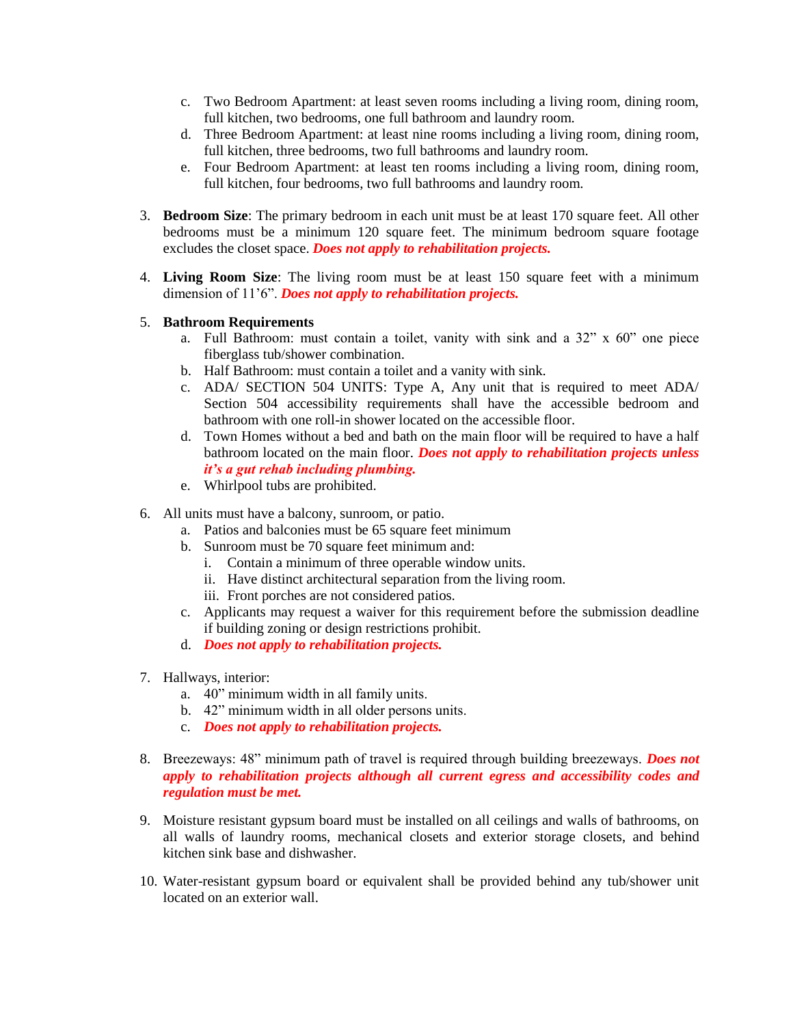- c. Two Bedroom Apartment: at least seven rooms including a living room, dining room, full kitchen, two bedrooms, one full bathroom and laundry room.
- d. Three Bedroom Apartment: at least nine rooms including a living room, dining room, full kitchen, three bedrooms, two full bathrooms and laundry room.
- e. Four Bedroom Apartment: at least ten rooms including a living room, dining room, full kitchen, four bedrooms, two full bathrooms and laundry room.
- 3. **Bedroom Size**: The primary bedroom in each unit must be at least 170 square feet. All other bedrooms must be a minimum 120 square feet. The minimum bedroom square footage excludes the closet space. *Does not apply to rehabilitation projects.*
- 4. **Living Room Size**: The living room must be at least 150 square feet with a minimum dimension of 11'6". *Does not apply to rehabilitation projects.*

### 5. **Bathroom Requirements**

- a. Full Bathroom: must contain a toilet, vanity with sink and a  $32^\circ \times 60^\circ$  one piece fiberglass tub/shower combination.
- b. Half Bathroom: must contain a toilet and a vanity with sink.
- c. ADA/ SECTION 504 UNITS: Type A, Any unit that is required to meet ADA/ Section 504 accessibility requirements shall have the accessible bedroom and bathroom with one roll-in shower located on the accessible floor.
- d. Town Homes without a bed and bath on the main floor will be required to have a half bathroom located on the main floor. *Does not apply to rehabilitation projects unless it's a gut rehab including plumbing.*
- e. Whirlpool tubs are prohibited.
- 6. All units must have a balcony, sunroom, or patio.
	- a. Patios and balconies must be 65 square feet minimum
	- b. Sunroom must be 70 square feet minimum and:
		- i. Contain a minimum of three operable window units.
		- ii. Have distinct architectural separation from the living room.
		- iii. Front porches are not considered patios.
	- c. Applicants may request a waiver for this requirement before the submission deadline if building zoning or design restrictions prohibit.
	- d. *Does not apply to rehabilitation projects.*
- 7. Hallways, interior:
	- a. 40" minimum width in all family units.
	- b. 42" minimum width in all older persons units.
	- c. *Does not apply to rehabilitation projects.*
- 8. Breezeways: 48" minimum path of travel is required through building breezeways. *Does not apply to rehabilitation projects although all current egress and accessibility codes and regulation must be met.*
- 9. Moisture resistant gypsum board must be installed on all ceilings and walls of bathrooms, on all walls of laundry rooms, mechanical closets and exterior storage closets, and behind kitchen sink base and dishwasher.
- 10. Water-resistant gypsum board or equivalent shall be provided behind any tub/shower unit located on an exterior wall.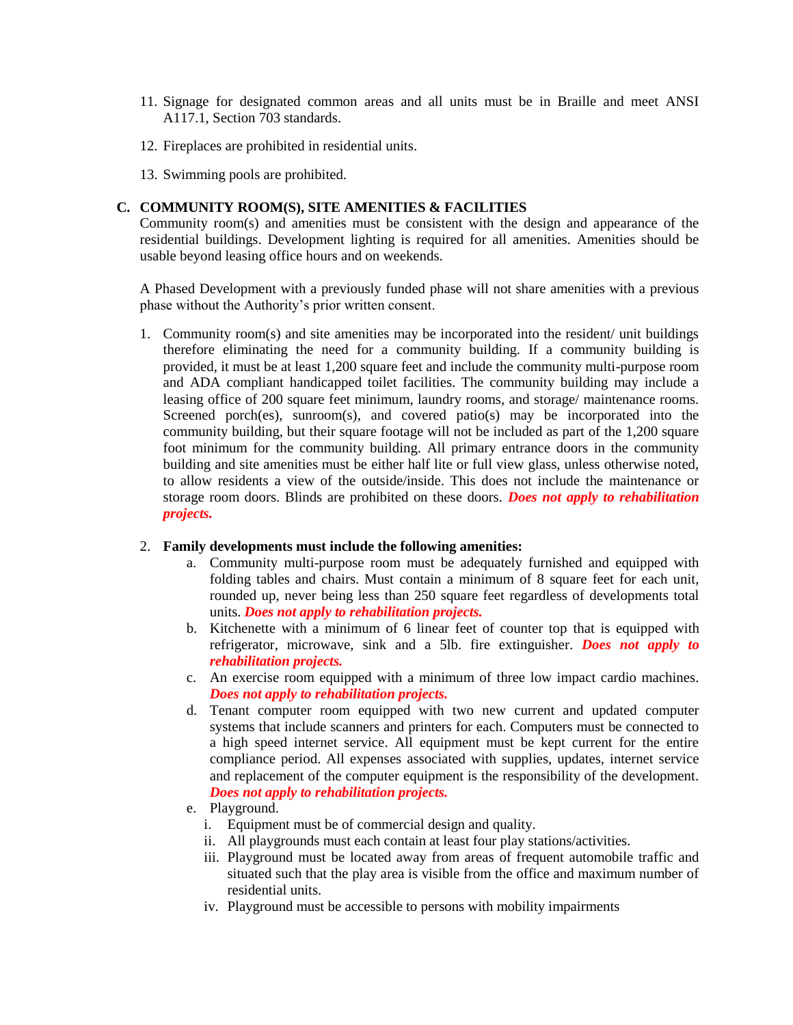- 11. Signage for designated common areas and all units must be in Braille and meet ANSI A117.1, Section 703 standards.
- 12. Fireplaces are prohibited in residential units.
- 13. Swimming pools are prohibited.

### **C. COMMUNITY ROOM(S), SITE AMENITIES & FACILITIES**

Community room(s) and amenities must be consistent with the design and appearance of the residential buildings. Development lighting is required for all amenities. Amenities should be usable beyond leasing office hours and on weekends.

A Phased Development with a previously funded phase will not share amenities with a previous phase without the Authority's prior written consent.

1. Community room(s) and site amenities may be incorporated into the resident/ unit buildings therefore eliminating the need for a community building. If a community building is provided, it must be at least 1,200 square feet and include the community multi-purpose room and ADA compliant handicapped toilet facilities. The community building may include a leasing office of 200 square feet minimum, laundry rooms, and storage/ maintenance rooms. Screened porch(es), sunroom(s), and covered patio(s) may be incorporated into the community building, but their square footage will not be included as part of the 1,200 square foot minimum for the community building. All primary entrance doors in the community building and site amenities must be either half lite or full view glass, unless otherwise noted, to allow residents a view of the outside/inside. This does not include the maintenance or storage room doors. Blinds are prohibited on these doors. *Does not apply to rehabilitation projects.*

#### 2. **Family developments must include the following amenities:**

- a. Community multi-purpose room must be adequately furnished and equipped with folding tables and chairs. Must contain a minimum of 8 square feet for each unit, rounded up, never being less than 250 square feet regardless of developments total units. *Does not apply to rehabilitation projects.*
- b. Kitchenette with a minimum of 6 linear feet of counter top that is equipped with refrigerator, microwave, sink and a 5lb. fire extinguisher. *Does not apply to rehabilitation projects.*
- c. An exercise room equipped with a minimum of three low impact cardio machines. *Does not apply to rehabilitation projects.*
- d. Tenant computer room equipped with two new current and updated computer systems that include scanners and printers for each. Computers must be connected to a high speed internet service. All equipment must be kept current for the entire compliance period. All expenses associated with supplies, updates, internet service and replacement of the computer equipment is the responsibility of the development. *Does not apply to rehabilitation projects.*
- e. Playground.
	- i. Equipment must be of commercial design and quality.
	- ii. All playgrounds must each contain at least four play stations/activities.
	- iii. Playground must be located away from areas of frequent automobile traffic and situated such that the play area is visible from the office and maximum number of residential units.
	- iv. Playground must be accessible to persons with mobility impairments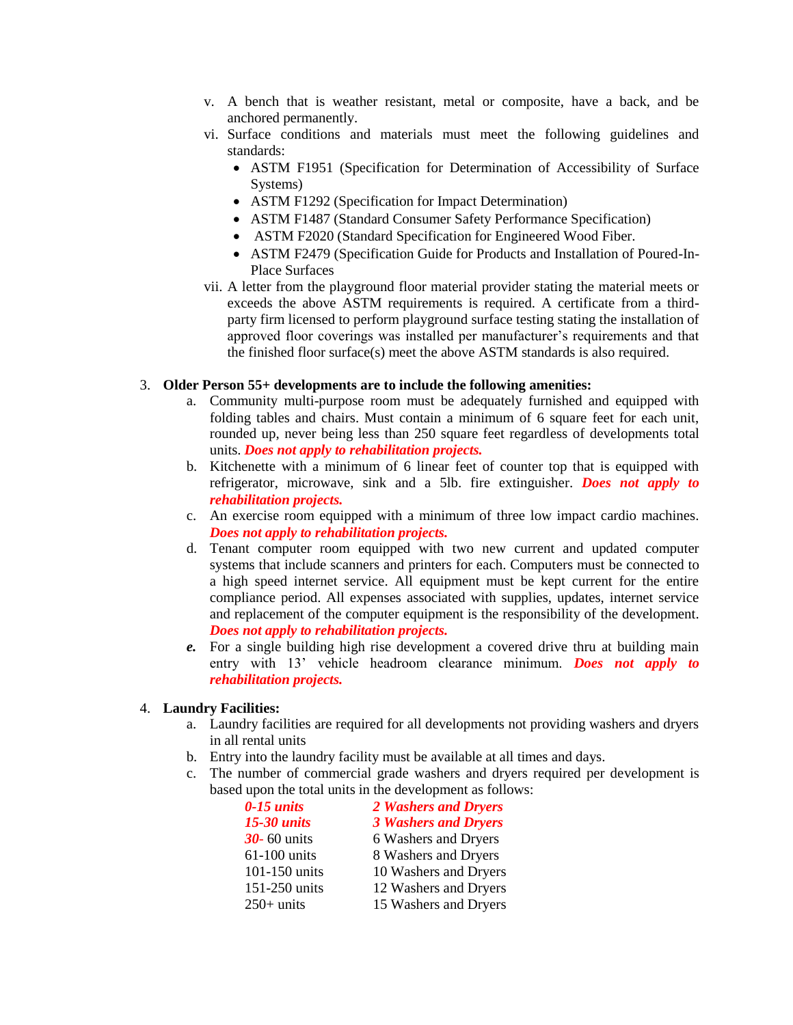- v. A bench that is weather resistant, metal or composite, have a back, and be anchored permanently.
- vi. Surface conditions and materials must meet the following guidelines and standards:
	- ASTM F1951 (Specification for Determination of Accessibility of Surface Systems)
	- ASTM F1292 (Specification for Impact Determination)
	- ASTM F1487 (Standard Consumer Safety Performance Specification)
	- ASTM F2020 (Standard Specification for Engineered Wood Fiber.
	- ASTM F2479 (Specification Guide for Products and Installation of Poured-In-Place Surfaces
- vii. A letter from the playground floor material provider stating the material meets or exceeds the above ASTM requirements is required. A certificate from a thirdparty firm licensed to perform playground surface testing stating the installation of approved floor coverings was installed per manufacturer's requirements and that the finished floor surface(s) meet the above ASTM standards is also required.

### 3. **Older Person 55+ developments are to include the following amenities:**

- a. Community multi-purpose room must be adequately furnished and equipped with folding tables and chairs. Must contain a minimum of 6 square feet for each unit, rounded up, never being less than 250 square feet regardless of developments total units. *Does not apply to rehabilitation projects.*
- b. Kitchenette with a minimum of 6 linear feet of counter top that is equipped with refrigerator, microwave, sink and a 5lb. fire extinguisher. *Does not apply to rehabilitation projects.*
- c. An exercise room equipped with a minimum of three low impact cardio machines. *Does not apply to rehabilitation projects.*
- d. Tenant computer room equipped with two new current and updated computer systems that include scanners and printers for each. Computers must be connected to a high speed internet service. All equipment must be kept current for the entire compliance period. All expenses associated with supplies, updates, internet service and replacement of the computer equipment is the responsibility of the development. *Does not apply to rehabilitation projects.*
- *e.* For a single building high rise development a covered drive thru at building main entry with 13' vehicle headroom clearance minimum. *Does not apply to rehabilitation projects.*

### 4. **Laundry Facilities:**

- a. Laundry facilities are required for all developments not providing washers and dryers in all rental units
- b. Entry into the laundry facility must be available at all times and days.
- c. The number of commercial grade washers and dryers required per development is based upon the total units in the development as follows:

| $0-15$ units       | 2 Washers and Dryers        |
|--------------------|-----------------------------|
| <b>15-30 units</b> | <b>3 Washers and Dryers</b> |
| $30 - 60$ units    | 6 Washers and Dryers        |
| $61-100$ units     | 8 Washers and Dryers        |
| 101-150 units      | 10 Washers and Dryers       |
| 151-250 units      | 12 Washers and Dryers       |
| $250+$ units       | 15 Washers and Dryers       |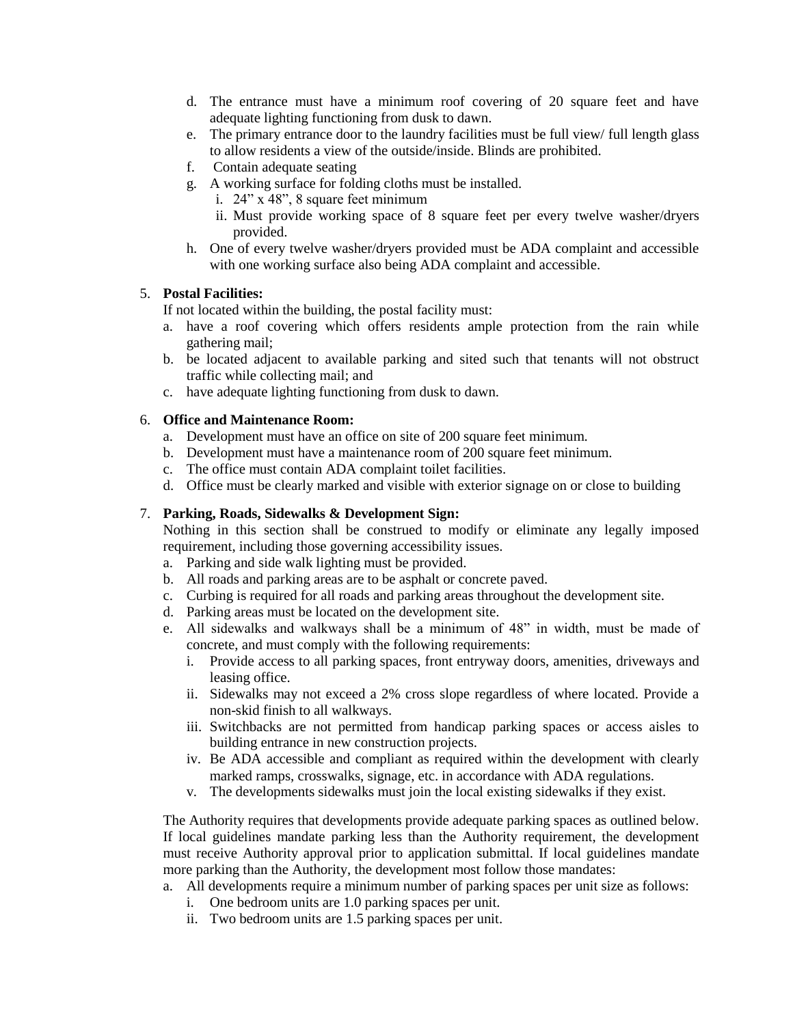- d. The entrance must have a minimum roof covering of 20 square feet and have adequate lighting functioning from dusk to dawn.
- e. The primary entrance door to the laundry facilities must be full view/ full length glass to allow residents a view of the outside/inside. Blinds are prohibited.
- f. Contain adequate seating
- g. A working surface for folding cloths must be installed.
	- i. 24" x 48", 8 square feet minimum
	- ii. Must provide working space of 8 square feet per every twelve washer/dryers provided.
- h. One of every twelve washer/dryers provided must be ADA complaint and accessible with one working surface also being ADA complaint and accessible.

#### 5. **Postal Facilities:**

If not located within the building, the postal facility must:

- a. have a roof covering which offers residents ample protection from the rain while gathering mail;
- b. be located adjacent to available parking and sited such that tenants will not obstruct traffic while collecting mail; and
- c. have adequate lighting functioning from dusk to dawn.

#### 6. **Office and Maintenance Room:**

- a. Development must have an office on site of 200 square feet minimum.
- b. Development must have a maintenance room of 200 square feet minimum.
- c. The office must contain ADA complaint toilet facilities.
- d. Office must be clearly marked and visible with exterior signage on or close to building

### 7. **Parking, Roads, Sidewalks & Development Sign:**

Nothing in this section shall be construed to modify or eliminate any legally imposed requirement, including those governing accessibility issues.

- a. Parking and side walk lighting must be provided.
- b. All roads and parking areas are to be asphalt or concrete paved.
- c. Curbing is required for all roads and parking areas throughout the development site.
- d. Parking areas must be located on the development site.
- e. All sidewalks and walkways shall be a minimum of 48" in width, must be made of concrete, and must comply with the following requirements:
	- i. Provide access to all parking spaces, front entryway doors, amenities, driveways and leasing office.
	- ii. Sidewalks may not exceed a 2% cross slope regardless of where located. Provide a non-skid finish to all walkways.
	- iii. Switchbacks are not permitted from handicap parking spaces or access aisles to building entrance in new construction projects.
	- iv. Be ADA accessible and compliant as required within the development with clearly marked ramps, crosswalks, signage, etc. in accordance with ADA regulations.
	- v. The developments sidewalks must join the local existing sidewalks if they exist.

The Authority requires that developments provide adequate parking spaces as outlined below. If local guidelines mandate parking less than the Authority requirement, the development must receive Authority approval prior to application submittal. If local guidelines mandate more parking than the Authority, the development most follow those mandates:

- a. All developments require a minimum number of parking spaces per unit size as follows:
	- i. One bedroom units are 1.0 parking spaces per unit.
	- ii. Two bedroom units are 1.5 parking spaces per unit.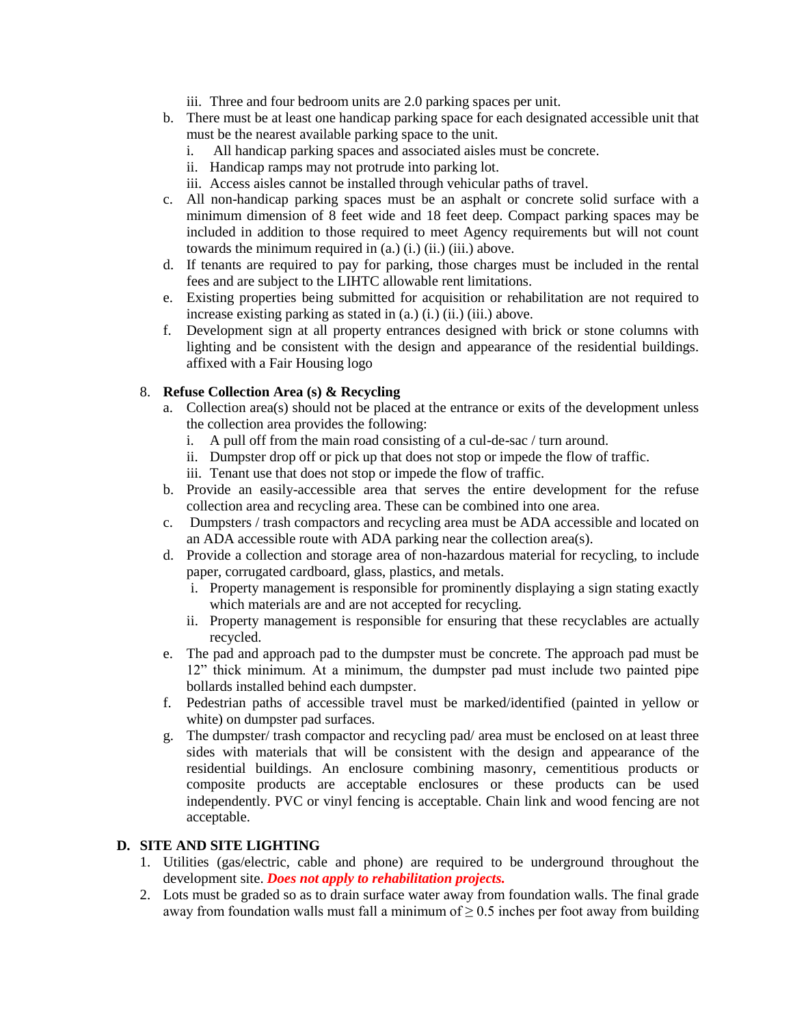- iii. Three and four bedroom units are 2.0 parking spaces per unit.
- b. There must be at least one handicap parking space for each designated accessible unit that must be the nearest available parking space to the unit.
	- i. All handicap parking spaces and associated aisles must be concrete.
	- ii. Handicap ramps may not protrude into parking lot.
	- iii. Access aisles cannot be installed through vehicular paths of travel.
- c. All non-handicap parking spaces must be an asphalt or concrete solid surface with a minimum dimension of 8 feet wide and 18 feet deep. Compact parking spaces may be included in addition to those required to meet Agency requirements but will not count towards the minimum required in (a.) (i.) (ii.) (iii.) above.
- d. If tenants are required to pay for parking, those charges must be included in the rental fees and are subject to the LIHTC allowable rent limitations.
- e. Existing properties being submitted for acquisition or rehabilitation are not required to increase existing parking as stated in (a.) (i.) (ii.) (iii.) above.
- f. Development sign at all property entrances designed with brick or stone columns with lighting and be consistent with the design and appearance of the residential buildings. affixed with a Fair Housing logo

## 8. **Refuse Collection Area (s) & Recycling**

- a. Collection area(s) should not be placed at the entrance or exits of the development unless the collection area provides the following:
	- i. A pull off from the main road consisting of a cul-de-sac / turn around.
	- ii. Dumpster drop off or pick up that does not stop or impede the flow of traffic.
	- iii. Tenant use that does not stop or impede the flow of traffic.
- b. Provide an easily-accessible area that serves the entire development for the refuse collection area and recycling area. These can be combined into one area.
- c. Dumpsters / trash compactors and recycling area must be ADA accessible and located on an ADA accessible route with ADA parking near the collection area(s).
- d. Provide a collection and storage area of non-hazardous material for recycling, to include paper, corrugated cardboard, glass, plastics, and metals.
	- i. Property management is responsible for prominently displaying a sign stating exactly which materials are and are not accepted for recycling.
	- ii. Property management is responsible for ensuring that these recyclables are actually recycled.
- e. The pad and approach pad to the dumpster must be concrete. The approach pad must be 12" thick minimum. At a minimum, the dumpster pad must include two painted pipe bollards installed behind each dumpster.
- f. Pedestrian paths of accessible travel must be marked/identified (painted in yellow or white) on dumpster pad surfaces.
- g. The dumpster/ trash compactor and recycling pad/ area must be enclosed on at least three sides with materials that will be consistent with the design and appearance of the residential buildings. An enclosure combining masonry, cementitious products or composite products are acceptable enclosures or these products can be used independently. PVC or vinyl fencing is acceptable. Chain link and wood fencing are not acceptable.

### **D. SITE AND SITE LIGHTING**

- 1. Utilities (gas/electric, cable and phone) are required to be underground throughout the development site. *Does not apply to rehabilitation projects.*
- 2. Lots must be graded so as to drain surface water away from foundation walls. The final grade away from foundation walls must fall a minimum of  $\geq 0.5$  inches per foot away from building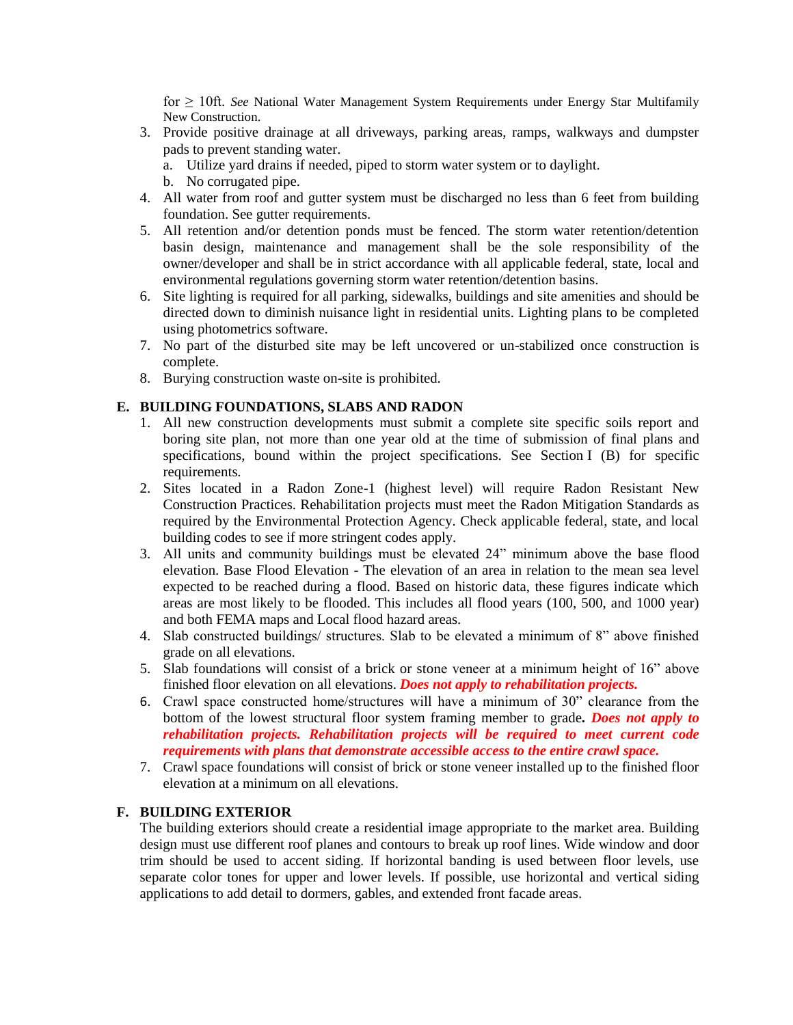for ≥ 10ft. *See* National Water Management System Requirements under Energy Star Multifamily New Construction.

- 3. Provide positive drainage at all driveways, parking areas, ramps, walkways and dumpster pads to prevent standing water.
	- a. Utilize yard drains if needed, piped to storm water system or to daylight.
	- b. No corrugated pipe.
- 4. All water from roof and gutter system must be discharged no less than 6 feet from building foundation. See gutter requirements.
- 5. All retention and/or detention ponds must be fenced. The storm water retention/detention basin design, maintenance and management shall be the sole responsibility of the owner/developer and shall be in strict accordance with all applicable federal, state, local and environmental regulations governing storm water retention/detention basins.
- 6. Site lighting is required for all parking, sidewalks, buildings and site amenities and should be directed down to diminish nuisance light in residential units. Lighting plans to be completed using photometrics software.
- 7. No part of the disturbed site may be left uncovered or un-stabilized once construction is complete.
- 8. Burying construction waste on-site is prohibited.

## **E. BUILDING FOUNDATIONS, SLABS AND RADON**

- 1. All new construction developments must submit a complete site specific soils report and boring site plan, not more than one year old at the time of submission of final plans and specifications, bound within the project specifications. See Section I (B) for specific requirements.
- 2. Sites located in a Radon Zone-1 (highest level) will require Radon Resistant New Construction Practices. Rehabilitation projects must meet the Radon Mitigation Standards as required by the Environmental Protection Agency. Check applicable federal, state, and local building codes to see if more stringent codes apply.
- 3. All units and community buildings must be elevated 24" minimum above the base flood elevation. Base Flood Elevation - The elevation of an area in relation to the mean sea level expected to be reached during a flood. Based on historic data, these figures indicate which areas are most likely to be flooded. This includes all flood years (100, 500, and 1000 year) and both FEMA maps and Local flood hazard areas.
- 4. Slab constructed buildings/ structures. Slab to be elevated a minimum of 8" above finished grade on all elevations.
- 5. Slab foundations will consist of a brick or stone veneer at a minimum height of 16" above finished floor elevation on all elevations. *Does not apply to rehabilitation projects.*
- 6. Crawl space constructed home/structures will have a minimum of 30" clearance from the bottom of the lowest structural floor system framing member to grade*. Does not apply to rehabilitation projects. Rehabilitation projects will be required to meet current code requirements with plans that demonstrate accessible access to the entire crawl space.*
- 7. Crawl space foundations will consist of brick or stone veneer installed up to the finished floor elevation at a minimum on all elevations.

## **F. BUILDING EXTERIOR**

The building exteriors should create a residential image appropriate to the market area. Building design must use different roof planes and contours to break up roof lines. Wide window and door trim should be used to accent siding. If horizontal banding is used between floor levels, use separate color tones for upper and lower levels. If possible, use horizontal and vertical siding applications to add detail to dormers, gables, and extended front facade areas.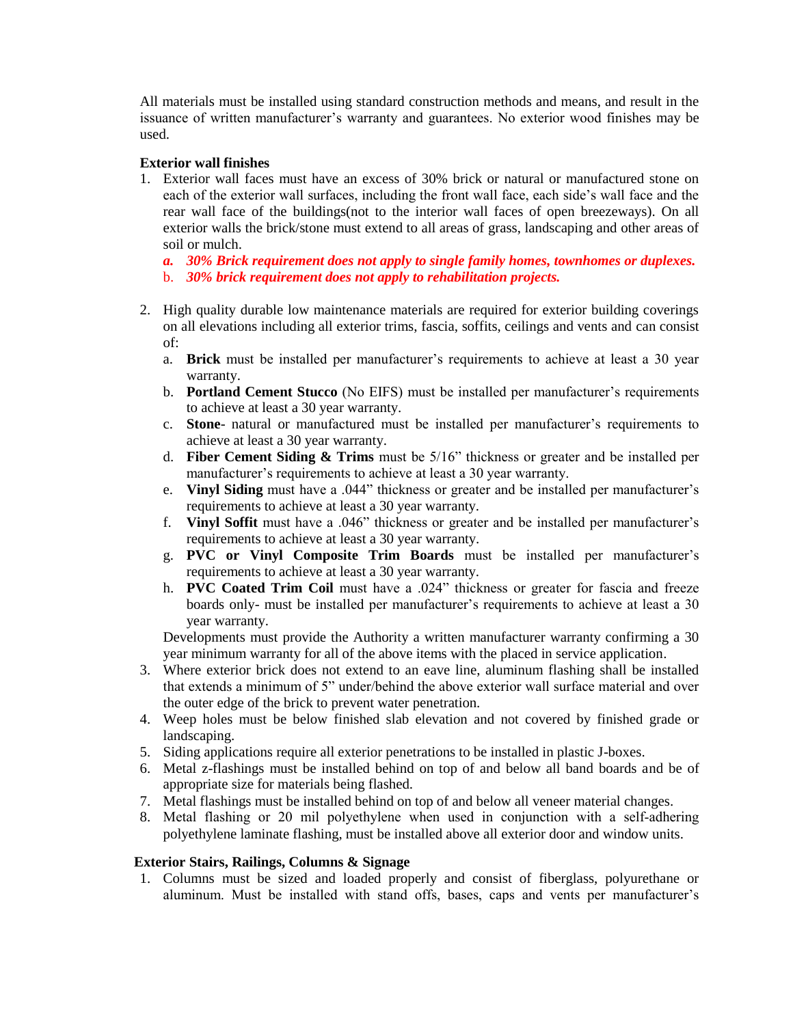All materials must be installed using standard construction methods and means, and result in the issuance of written manufacturer's warranty and guarantees. No exterior wood finishes may be used.

### **Exterior wall finishes**

- 1. Exterior wall faces must have an excess of 30% brick or natural or manufactured stone on each of the exterior wall surfaces, including the front wall face, each side's wall face and the rear wall face of the buildings(not to the interior wall faces of open breezeways). On all exterior walls the brick/stone must extend to all areas of grass, landscaping and other areas of soil or mulch.
	- *a. 30% Brick requirement does not apply to single family homes, townhomes or duplexes.*
	- b. *30% brick requirement does not apply to rehabilitation projects.*
- 2. High quality durable low maintenance materials are required for exterior building coverings on all elevations including all exterior trims, fascia, soffits, ceilings and vents and can consist of:
	- a. **Brick** must be installed per manufacturer's requirements to achieve at least a 30 year warranty.
	- b. **Portland Cement Stucco** (No EIFS) must be installed per manufacturer's requirements to achieve at least a 30 year warranty.
	- c. **Stone** natural or manufactured must be installed per manufacturer's requirements to achieve at least a 30 year warranty.
	- d. **Fiber Cement Siding & Trims** must be 5/16" thickness or greater and be installed per manufacturer's requirements to achieve at least a 30 year warranty.
	- e. **Vinyl Siding** must have a .044" thickness or greater and be installed per manufacturer's requirements to achieve at least a 30 year warranty.
	- f. **Vinyl Soffit** must have a .046" thickness or greater and be installed per manufacturer's requirements to achieve at least a 30 year warranty.
	- g. **PVC or Vinyl Composite Trim Boards** must be installed per manufacturer's requirements to achieve at least a 30 year warranty.
	- h. **PVC Coated Trim Coil** must have a .024" thickness or greater for fascia and freeze boards only- must be installed per manufacturer's requirements to achieve at least a 30 year warranty.

Developments must provide the Authority a written manufacturer warranty confirming a 30 year minimum warranty for all of the above items with the placed in service application.

- 3. Where exterior brick does not extend to an eave line, aluminum flashing shall be installed that extends a minimum of 5" under/behind the above exterior wall surface material and over the outer edge of the brick to prevent water penetration.
- 4. Weep holes must be below finished slab elevation and not covered by finished grade or landscaping.
- 5. Siding applications require all exterior penetrations to be installed in plastic J-boxes.
- 6. Metal z-flashings must be installed behind on top of and below all band boards and be of appropriate size for materials being flashed.
- 7. Metal flashings must be installed behind on top of and below all veneer material changes.
- 8. Metal flashing or 20 mil polyethylene when used in conjunction with a self-adhering polyethylene laminate flashing, must be installed above all exterior door and window units.

### **Exterior Stairs, Railings, Columns & Signage**

1. Columns must be sized and loaded properly and consist of fiberglass, polyurethane or aluminum. Must be installed with stand offs, bases, caps and vents per manufacturer's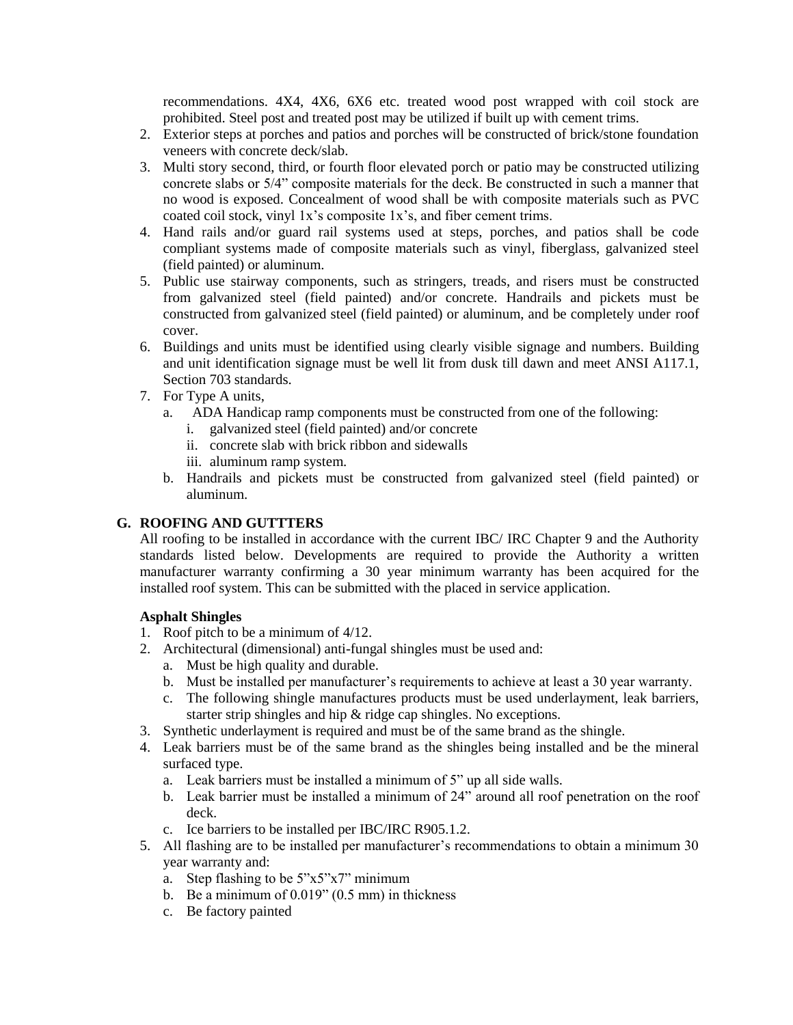recommendations. 4X4, 4X6, 6X6 etc. treated wood post wrapped with coil stock are prohibited. Steel post and treated post may be utilized if built up with cement trims.

- 2. Exterior steps at porches and patios and porches will be constructed of brick/stone foundation veneers with concrete deck/slab.
- 3. Multi story second, third, or fourth floor elevated porch or patio may be constructed utilizing concrete slabs or 5/4" composite materials for the deck. Be constructed in such a manner that no wood is exposed. Concealment of wood shall be with composite materials such as PVC coated coil stock, vinyl 1x's composite 1x's, and fiber cement trims.
- 4. Hand rails and/or guard rail systems used at steps, porches, and patios shall be code compliant systems made of composite materials such as vinyl, fiberglass, galvanized steel (field painted) or aluminum.
- 5. Public use stairway components, such as stringers, treads, and risers must be constructed from galvanized steel (field painted) and/or concrete. Handrails and pickets must be constructed from galvanized steel (field painted) or aluminum, and be completely under roof cover.
- 6. Buildings and units must be identified using clearly visible signage and numbers. Building and unit identification signage must be well lit from dusk till dawn and meet ANSI A117.1, Section 703 standards.
- 7. For Type A units,
	- a. ADA Handicap ramp components must be constructed from one of the following:
		- i. galvanized steel (field painted) and/or concrete
		- ii. concrete slab with brick ribbon and sidewalls
		- iii. aluminum ramp system.
	- b. Handrails and pickets must be constructed from galvanized steel (field painted) or aluminum.

## **G. ROOFING AND GUTTTERS**

All roofing to be installed in accordance with the current IBC/ IRC Chapter 9 and the Authority standards listed below. Developments are required to provide the Authority a written manufacturer warranty confirming a 30 year minimum warranty has been acquired for the installed roof system. This can be submitted with the placed in service application.

### **Asphalt Shingles**

- 1. Roof pitch to be a minimum of 4/12.
- 2. Architectural (dimensional) anti-fungal shingles must be used and:
	- a. Must be high quality and durable.
	- b. Must be installed per manufacturer's requirements to achieve at least a 30 year warranty.
	- c. The following shingle manufactures products must be used underlayment, leak barriers, starter strip shingles and hip & ridge cap shingles. No exceptions.
- 3. Synthetic underlayment is required and must be of the same brand as the shingle.
- 4. Leak barriers must be of the same brand as the shingles being installed and be the mineral surfaced type.
	- a. Leak barriers must be installed a minimum of 5" up all side walls.
	- b. Leak barrier must be installed a minimum of 24" around all roof penetration on the roof deck.
	- c. Ice barriers to be installed per IBC/IRC R905.1.2.
- 5. All flashing are to be installed per manufacturer's recommendations to obtain a minimum 30 year warranty and:
	- a. Step flashing to be 5"x5"x7" minimum
	- b. Be a minimum of  $0.019$ "  $(0.5 \text{ mm})$  in thickness
	- c. Be factory painted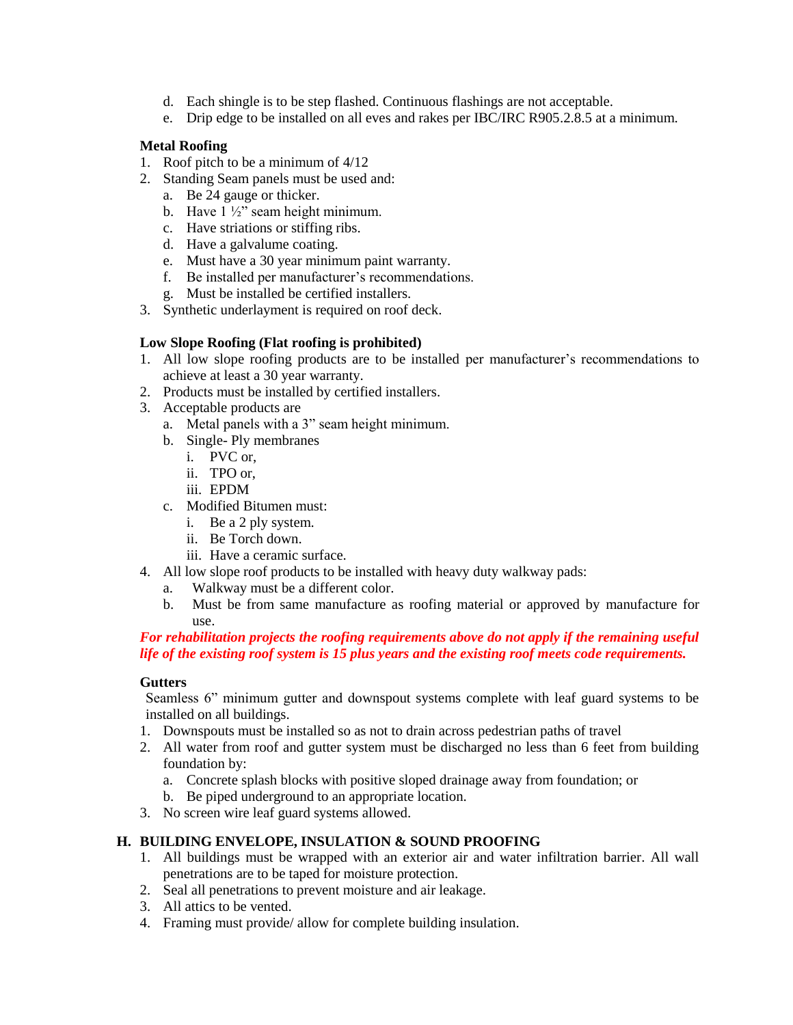- d. Each shingle is to be step flashed. Continuous flashings are not acceptable.
- e. Drip edge to be installed on all eves and rakes per IBC/IRC R905.2.8.5 at a minimum.

# **Metal Roofing**

- 1. Roof pitch to be a minimum of 4/12
- 2. Standing Seam panels must be used and:
	- a. Be 24 gauge or thicker.
	- b. Have 1 ½" seam height minimum.
	- c. Have striations or stiffing ribs.
	- d. Have a galvalume coating.
	- e. Must have a 30 year minimum paint warranty.
	- f. Be installed per manufacturer's recommendations.
	- g. Must be installed be certified installers.
- 3. Synthetic underlayment is required on roof deck.

# **Low Slope Roofing (Flat roofing is prohibited)**

- 1. All low slope roofing products are to be installed per manufacturer's recommendations to achieve at least a 30 year warranty.
- 2. Products must be installed by certified installers.
- 3. Acceptable products are
	- a. Metal panels with a 3" seam height minimum.
	- b. Single- Ply membranes
		- i. PVC or,
		- ii. TPO or,
		- iii. EPDM
	- c. Modified Bitumen must:
		- i. Be a 2 ply system.
		- ii. Be Torch down.
		- iii. Have a ceramic surface.
- 4. All low slope roof products to be installed with heavy duty walkway pads:
	- a. Walkway must be a different color.
	- b. Must be from same manufacture as roofing material or approved by manufacture for use.

### *For rehabilitation projects the roofing requirements above do not apply if the remaining useful life of the existing roof system is 15 plus years and the existing roof meets code requirements.*

## **Gutters**

Seamless 6" minimum gutter and downspout systems complete with leaf guard systems to be installed on all buildings.

- 1. Downspouts must be installed so as not to drain across pedestrian paths of travel
- 2. All water from roof and gutter system must be discharged no less than 6 feet from building foundation by:
	- a. Concrete splash blocks with positive sloped drainage away from foundation; or
	- b. Be piped underground to an appropriate location.
- 3. No screen wire leaf guard systems allowed.

## **H. BUILDING ENVELOPE, INSULATION & SOUND PROOFING**

- 1. All buildings must be wrapped with an exterior air and water infiltration barrier. All wall penetrations are to be taped for moisture protection.
- 2. Seal all penetrations to prevent moisture and air leakage.
- 3. All attics to be vented.
- 4. Framing must provide/ allow for complete building insulation.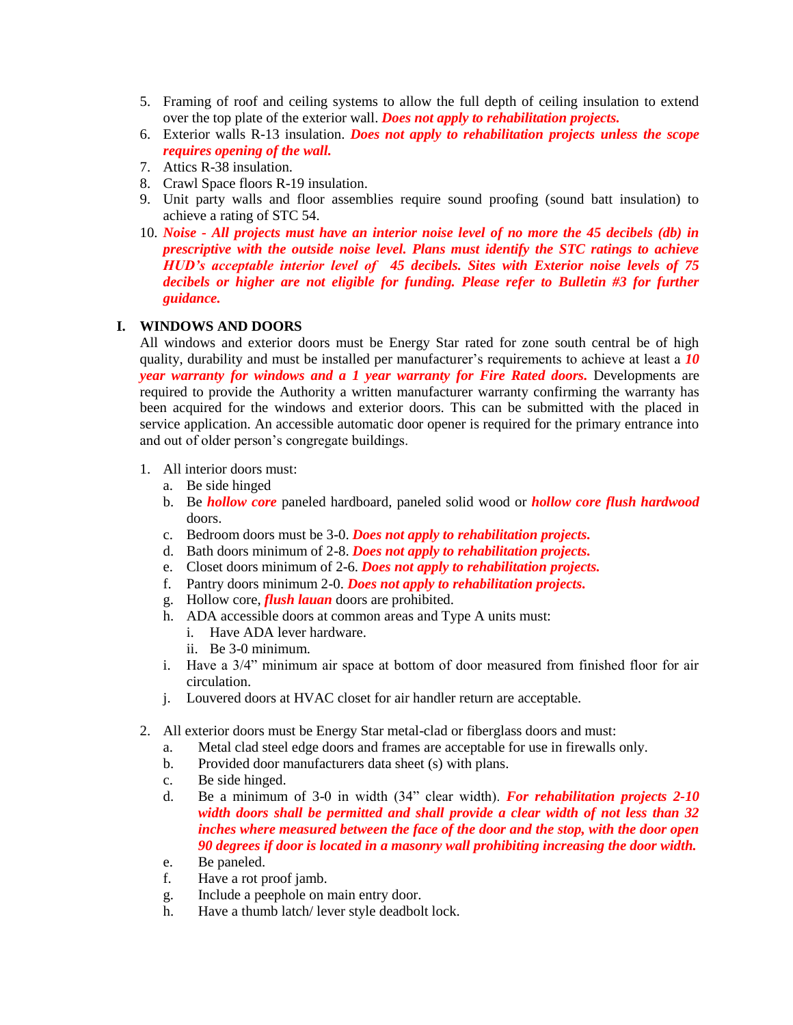- 5. Framing of roof and ceiling systems to allow the full depth of ceiling insulation to extend over the top plate of the exterior wall. *Does not apply to rehabilitation projects.*
- 6. Exterior walls R-13 insulation. *Does not apply to rehabilitation projects unless the scope requires opening of the wall.*
- 7. Attics R-38 insulation.
- 8. Crawl Space floors R-19 insulation.
- 9. Unit party walls and floor assemblies require sound proofing (sound batt insulation) to achieve a rating of STC 54.
- 10. *Noise - All projects must have an interior noise level of no more the 45 decibels (db) in prescriptive with the outside noise level. Plans must identify the STC ratings to achieve HUD's acceptable interior level of 45 decibels. Sites with Exterior noise levels of 75 decibels or higher are not eligible for funding. Please refer to Bulletin #3 for further guidance.*

### **I. WINDOWS AND DOORS**

All windows and exterior doors must be Energy Star rated for zone south central be of high quality, durability and must be installed per manufacturer's requirements to achieve at least a *10 year warranty for windows and a 1 year warranty for Fire Rated doors.* Developments are required to provide the Authority a written manufacturer warranty confirming the warranty has been acquired for the windows and exterior doors. This can be submitted with the placed in service application. An accessible automatic door opener is required for the primary entrance into and out of older person's congregate buildings.

- 1. All interior doors must:
	- a. Be side hinged
	- b. Be *hollow core* paneled hardboard, paneled solid wood or *hollow core flush hardwood* doors.
	- c. Bedroom doors must be 3-0. *Does not apply to rehabilitation projects.*
	- d. Bath doors minimum of 2-8. *Does not apply to rehabilitation projects.*
	- e. Closet doors minimum of 2-6. *Does not apply to rehabilitation projects.*
	- f. Pantry doors minimum 2-0. *Does not apply to rehabilitation projects.*
	- g. Hollow core, *flush lauan* doors are prohibited.
	- h. ADA accessible doors at common areas and Type A units must:
		- i. Have ADA lever hardware.
		- ii. Be 3-0 minimum.
	- i. Have a 3/4" minimum air space at bottom of door measured from finished floor for air circulation.
	- j. Louvered doors at HVAC closet for air handler return are acceptable.
- 2. All exterior doors must be Energy Star metal-clad or fiberglass doors and must:
	- a. Metal clad steel edge doors and frames are acceptable for use in firewalls only.
	- b. Provided door manufacturers data sheet (s) with plans.
	- c. Be side hinged.
	- d. Be a minimum of 3-0 in width (34" clear width). *For rehabilitation projects 2-10 width doors shall be permitted and shall provide a clear width of not less than 32 inches where measured between the face of the door and the stop, with the door open 90 degrees if door is located in a masonry wall prohibiting increasing the door width.*
	- e. Be paneled.
	- f. Have a rot proof jamb.
	- g. Include a peephole on main entry door.
	- h. Have a thumb latch/ lever style deadbolt lock.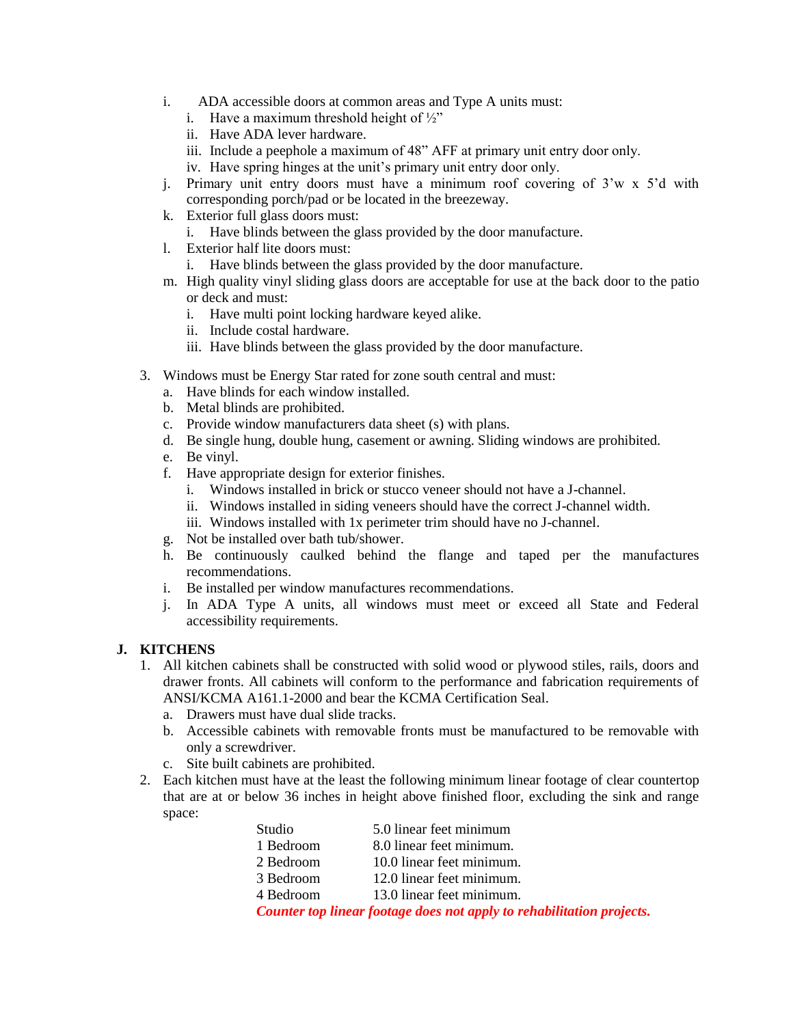- i. ADA accessible doors at common areas and Type A units must:
	- i. Have a maximum threshold height of  $\frac{1}{2}$ "
	- ii. Have ADA lever hardware.
	- iii. Include a peephole a maximum of 48" AFF at primary unit entry door only.
	- iv. Have spring hinges at the unit's primary unit entry door only.
- j. Primary unit entry doors must have a minimum roof covering of 3'w x 5'd with corresponding porch/pad or be located in the breezeway.
- k. Exterior full glass doors must:
	- i. Have blinds between the glass provided by the door manufacture.
- l. Exterior half lite doors must:
	- i. Have blinds between the glass provided by the door manufacture.
- m. High quality vinyl sliding glass doors are acceptable for use at the back door to the patio or deck and must:
	- i. Have multi point locking hardware keyed alike.
	- ii. Include costal hardware.
	- iii. Have blinds between the glass provided by the door manufacture.
- 3. Windows must be Energy Star rated for zone south central and must:
	- a. Have blinds for each window installed.
	- b. Metal blinds are prohibited.
	- c. Provide window manufacturers data sheet (s) with plans.
	- d. Be single hung, double hung, casement or awning. Sliding windows are prohibited.
	- e. Be vinyl.
	- f. Have appropriate design for exterior finishes.
		- i. Windows installed in brick or stucco veneer should not have a J-channel.
		- ii. Windows installed in siding veneers should have the correct J-channel width.
		- iii. Windows installed with 1x perimeter trim should have no J-channel.
	- g. Not be installed over bath tub/shower.
	- h. Be continuously caulked behind the flange and taped per the manufactures recommendations.
	- i. Be installed per window manufactures recommendations.
	- j. In ADA Type A units, all windows must meet or exceed all State and Federal accessibility requirements.

## **J. KITCHENS**

- 1. All kitchen cabinets shall be constructed with solid wood or plywood stiles, rails, doors and drawer fronts. All cabinets will conform to the performance and fabrication requirements of ANSI/KCMA A161.1-2000 and bear the KCMA Certification Seal.
	- a. Drawers must have dual slide tracks.
	- b. Accessible cabinets with removable fronts must be manufactured to be removable with only a screwdriver.
	- c. Site built cabinets are prohibited.
- 2. Each kitchen must have at the least the following minimum linear footage of clear countertop that are at or below 36 inches in height above finished floor, excluding the sink and range space:

| Studio                                                                | 5.0 linear feet minimum   |  |
|-----------------------------------------------------------------------|---------------------------|--|
| 1 Bedroom                                                             | 8.0 linear feet minimum.  |  |
| 2 Bedroom                                                             | 10.0 linear feet minimum. |  |
| 3 Bedroom                                                             | 12.0 linear feet minimum. |  |
| 4 Bedroom                                                             | 13.0 linear feet minimum. |  |
| Counter top linear footage does not apply to rehabilitation projects. |                           |  |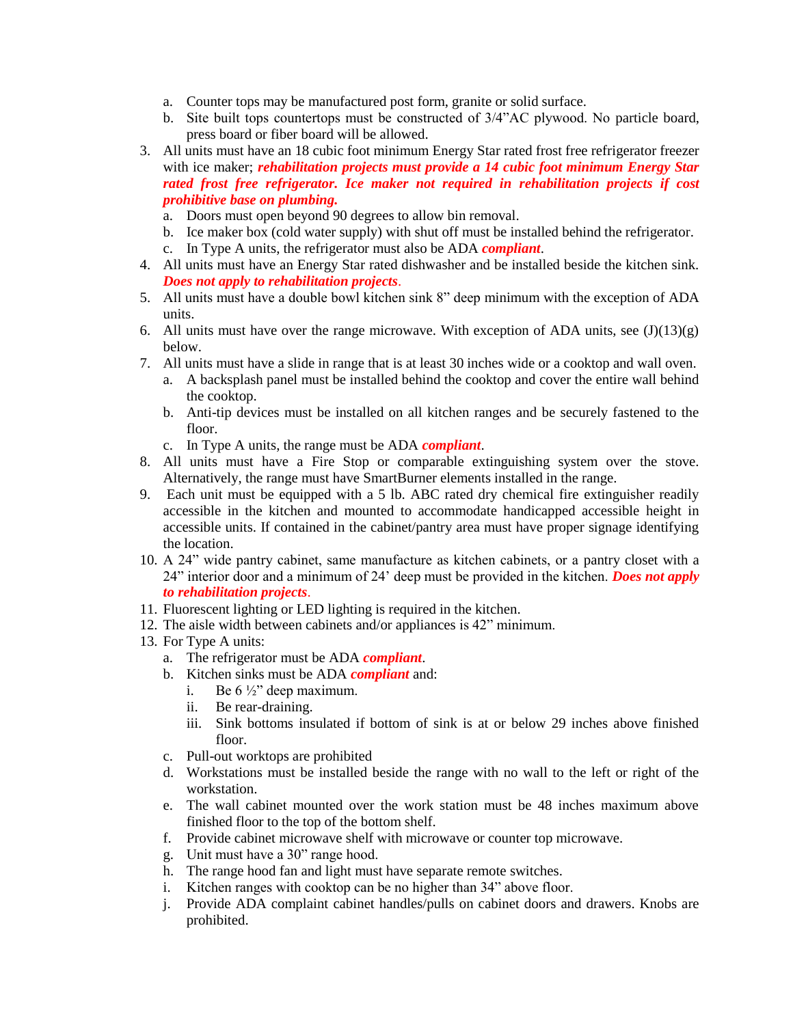- a. Counter tops may be manufactured post form, granite or solid surface.
- b. Site built tops countertops must be constructed of 3/4"AC plywood. No particle board, press board or fiber board will be allowed.
- 3. All units must have an 18 cubic foot minimum Energy Star rated frost free refrigerator freezer with ice maker; *rehabilitation projects must provide a 14 cubic foot minimum Energy Star rated frost free refrigerator. Ice maker not required in rehabilitation projects if cost prohibitive base on plumbing.*
	- a. Doors must open beyond 90 degrees to allow bin removal.
	- b. Ice maker box (cold water supply) with shut off must be installed behind the refrigerator.
	- c. In Type A units, the refrigerator must also be ADA *compliant*.
- 4. All units must have an Energy Star rated dishwasher and be installed beside the kitchen sink. *Does not apply to rehabilitation projects*.
- 5. All units must have a double bowl kitchen sink 8" deep minimum with the exception of ADA units.
- 6. All units must have over the range microwave. With exception of ADA units, see  $(J)(13)(g)$ below.
- 7. All units must have a slide in range that is at least 30 inches wide or a cooktop and wall oven.
	- a. A backsplash panel must be installed behind the cooktop and cover the entire wall behind the cooktop.
	- b. Anti-tip devices must be installed on all kitchen ranges and be securely fastened to the floor.
	- c. In Type A units, the range must be ADA *compliant*.
- 8. All units must have a Fire Stop or comparable extinguishing system over the stove. Alternatively, the range must have SmartBurner elements installed in the range.
- 9. Each unit must be equipped with a 5 lb. ABC rated dry chemical fire extinguisher readily accessible in the kitchen and mounted to accommodate handicapped accessible height in accessible units. If contained in the cabinet/pantry area must have proper signage identifying the location.
- 10. A 24" wide pantry cabinet, same manufacture as kitchen cabinets, or a pantry closet with a 24" interior door and a minimum of 24' deep must be provided in the kitchen. *Does not apply to rehabilitation projects*.
- 11. Fluorescent lighting or LED lighting is required in the kitchen.
- 12. The aisle width between cabinets and/or appliances is 42" minimum.
- 13. For Type A units:
	- a. The refrigerator must be ADA *compliant*.
	- b. Kitchen sinks must be ADA *compliant* and:
		- i. Be  $6\frac{1}{2}$ " deep maximum.
		- ii. Be rear-draining.
		- iii. Sink bottoms insulated if bottom of sink is at or below 29 inches above finished floor.
	- c. Pull-out worktops are prohibited
	- d. Workstations must be installed beside the range with no wall to the left or right of the workstation.
	- e. The wall cabinet mounted over the work station must be 48 inches maximum above finished floor to the top of the bottom shelf.
	- f. Provide cabinet microwave shelf with microwave or counter top microwave.
	- g. Unit must have a 30" range hood.
	- h. The range hood fan and light must have separate remote switches.
	- i. Kitchen ranges with cooktop can be no higher than 34" above floor.
	- j. Provide ADA complaint cabinet handles/pulls on cabinet doors and drawers. Knobs are prohibited.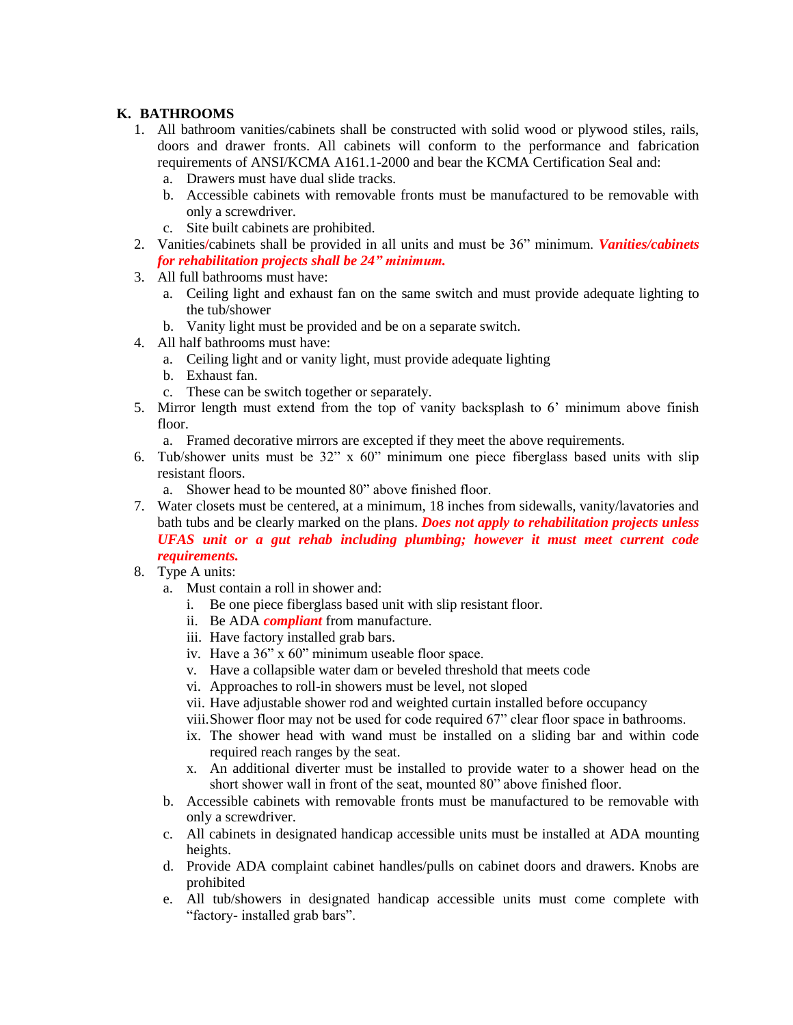## **K. BATHROOMS**

- 1. All bathroom vanities/cabinets shall be constructed with solid wood or plywood stiles, rails, doors and drawer fronts. All cabinets will conform to the performance and fabrication requirements of ANSI/KCMA A161.1-2000 and bear the KCMA Certification Seal and:
	- a. Drawers must have dual slide tracks.
	- b. Accessible cabinets with removable fronts must be manufactured to be removable with only a screwdriver.
	- c. Site built cabinets are prohibited.
- 2. Vanities**/**cabinets shall be provided in all units and must be 36" minimum. *Vanities/cabinets for rehabilitation projects shall be 24" minimum.*
- 3. All full bathrooms must have:
	- a. Ceiling light and exhaust fan on the same switch and must provide adequate lighting to the tub/shower
	- b. Vanity light must be provided and be on a separate switch.
- 4. All half bathrooms must have:
	- a. Ceiling light and or vanity light, must provide adequate lighting
	- b. Exhaust fan.
	- c. These can be switch together or separately.
- 5. Mirror length must extend from the top of vanity backsplash to 6' minimum above finish floor.
	- a. Framed decorative mirrors are excepted if they meet the above requirements.
- 6. Tub/shower units must be 32" x 60" minimum one piece fiberglass based units with slip resistant floors.
	- a. Shower head to be mounted 80" above finished floor.
- 7. Water closets must be centered, at a minimum, 18 inches from sidewalls, vanity/lavatories and bath tubs and be clearly marked on the plans. *Does not apply to rehabilitation projects unless UFAS unit or a gut rehab including plumbing; however it must meet current code requirements.*
- 8. Type A units:
	- a. Must contain a roll in shower and:
		- i. Be one piece fiberglass based unit with slip resistant floor.
		- ii. Be ADA *compliant* from manufacture.
		- iii. Have factory installed grab bars.
		- iv. Have a 36" x 60" minimum useable floor space.
		- v. Have a collapsible water dam or beveled threshold that meets code
		- vi. Approaches to roll-in showers must be level, not sloped
		- vii. Have adjustable shower rod and weighted curtain installed before occupancy
		- viii.Shower floor may not be used for code required 67" clear floor space in bathrooms.
		- ix. The shower head with wand must be installed on a sliding bar and within code required reach ranges by the seat.
		- x. An additional diverter must be installed to provide water to a shower head on the short shower wall in front of the seat, mounted 80" above finished floor.
	- b. Accessible cabinets with removable fronts must be manufactured to be removable with only a screwdriver.
	- c. All cabinets in designated handicap accessible units must be installed at ADA mounting heights.
	- d. Provide ADA complaint cabinet handles/pulls on cabinet doors and drawers. Knobs are prohibited
	- e. All tub/showers in designated handicap accessible units must come complete with "factory- installed grab bars".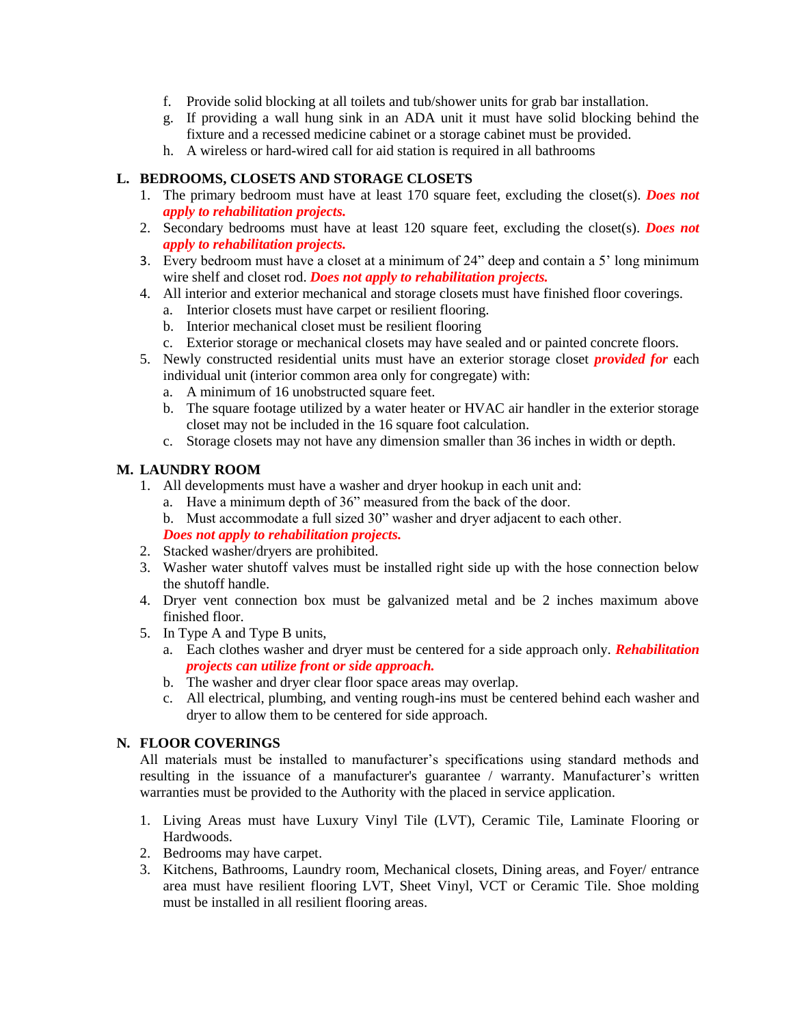- f. Provide solid blocking at all toilets and tub/shower units for grab bar installation.
- g. If providing a wall hung sink in an ADA unit it must have solid blocking behind the fixture and a recessed medicine cabinet or a storage cabinet must be provided.
- h. A wireless or hard-wired call for aid station is required in all bathrooms

## **L. BEDROOMS, CLOSETS AND STORAGE CLOSETS**

- 1. The primary bedroom must have at least 170 square feet, excluding the closet(s). *Does not apply to rehabilitation projects.*
- 2. Secondary bedrooms must have at least 120 square feet, excluding the closet(s). *Does not apply to rehabilitation projects.*
- 3. Every bedroom must have a closet at a minimum of 24" deep and contain a 5' long minimum wire shelf and closet rod. *Does not apply to rehabilitation projects.*
- 4. All interior and exterior mechanical and storage closets must have finished floor coverings.
	- a. Interior closets must have carpet or resilient flooring.
	- b. Interior mechanical closet must be resilient flooring
	- c. Exterior storage or mechanical closets may have sealed and or painted concrete floors.
- 5. Newly constructed residential units must have an exterior storage closet *provided for* each individual unit (interior common area only for congregate) with:
	- a. A minimum of 16 unobstructed square feet.
	- b. The square footage utilized by a water heater or HVAC air handler in the exterior storage closet may not be included in the 16 square foot calculation.
	- c. Storage closets may not have any dimension smaller than 36 inches in width or depth.

# **M. LAUNDRY ROOM**

- 1. All developments must have a washer and dryer hookup in each unit and:
	- a. Have a minimum depth of 36" measured from the back of the door.
	- b. Must accommodate a full sized 30" washer and dryer adjacent to each other.
	- *Does not apply to rehabilitation projects.*
- 2. Stacked washer/dryers are prohibited.
- 3. Washer water shutoff valves must be installed right side up with the hose connection below the shutoff handle.
- 4. Dryer vent connection box must be galvanized metal and be 2 inches maximum above finished floor.
- 5. In Type A and Type B units,
	- a. Each clothes washer and dryer must be centered for a side approach only. *Rehabilitation projects can utilize front or side approach.*
	- b. The washer and dryer clear floor space areas may overlap.
	- c. All electrical, plumbing, and venting rough-ins must be centered behind each washer and dryer to allow them to be centered for side approach.

## **N. FLOOR COVERINGS**

All materials must be installed to manufacturer's specifications using standard methods and resulting in the issuance of a manufacturer's guarantee / warranty. Manufacturer's written warranties must be provided to the Authority with the placed in service application.

- 1. Living Areas must have Luxury Vinyl Tile (LVT), Ceramic Tile, Laminate Flooring or Hardwoods.
- 2. Bedrooms may have carpet.
- 3. Kitchens, Bathrooms, Laundry room, Mechanical closets, Dining areas, and Foyer/ entrance area must have resilient flooring LVT, Sheet Vinyl, VCT or Ceramic Tile. Shoe molding must be installed in all resilient flooring areas.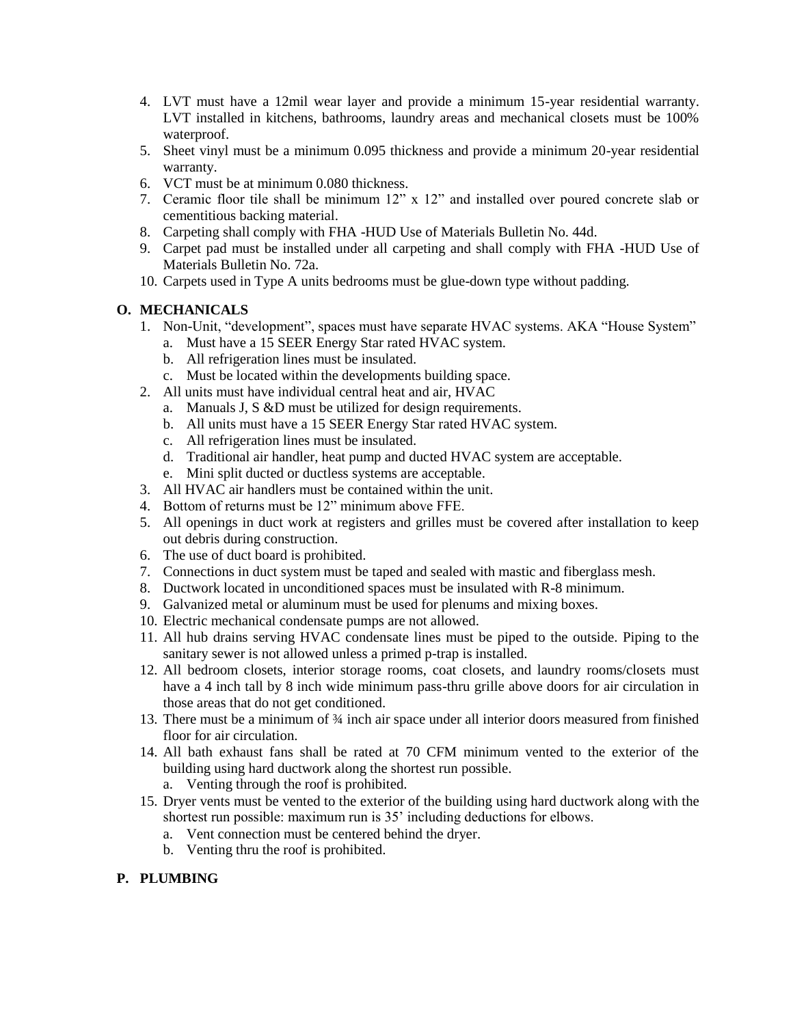- 4. LVT must have a 12mil wear layer and provide a minimum 15-year residential warranty. LVT installed in kitchens, bathrooms, laundry areas and mechanical closets must be 100% waterproof.
- 5. Sheet vinyl must be a minimum 0.095 thickness and provide a minimum 20-year residential warranty.
- 6. VCT must be at minimum 0.080 thickness.
- 7. Ceramic floor tile shall be minimum 12" x 12" and installed over poured concrete slab or cementitious backing material.
- 8. Carpeting shall comply with FHA -HUD Use of Materials Bulletin No. 44d.
- 9. Carpet pad must be installed under all carpeting and shall comply with FHA -HUD Use of Materials Bulletin No. 72a.
- 10. Carpets used in Type A units bedrooms must be glue-down type without padding.

## **O. MECHANICALS**

- 1. Non-Unit, "development", spaces must have separate HVAC systems. AKA "House System"
	- a. Must have a 15 SEER Energy Star rated HVAC system.
	- b. All refrigeration lines must be insulated.
	- c. Must be located within the developments building space.
- 2. All units must have individual central heat and air, HVAC
	- a. Manuals J, S &D must be utilized for design requirements.
	- b. All units must have a 15 SEER Energy Star rated HVAC system.
	- c. All refrigeration lines must be insulated.
	- d. Traditional air handler, heat pump and ducted HVAC system are acceptable.
	- e. Mini split ducted or ductless systems are acceptable.
- 3. All HVAC air handlers must be contained within the unit.
- 4. Bottom of returns must be 12" minimum above FFE.
- 5. All openings in duct work at registers and grilles must be covered after installation to keep out debris during construction.
- 6. The use of duct board is prohibited.
- 7. Connections in duct system must be taped and sealed with mastic and fiberglass mesh.
- 8. Ductwork located in unconditioned spaces must be insulated with R-8 minimum.
- 9. Galvanized metal or aluminum must be used for plenums and mixing boxes.
- 10. Electric mechanical condensate pumps are not allowed.
- 11. All hub drains serving HVAC condensate lines must be piped to the outside. Piping to the sanitary sewer is not allowed unless a primed p-trap is installed.
- 12. All bedroom closets, interior storage rooms, coat closets, and laundry rooms/closets must have a 4 inch tall by 8 inch wide minimum pass-thru grille above doors for air circulation in those areas that do not get conditioned.
- 13. There must be a minimum of ¾ inch air space under all interior doors measured from finished floor for air circulation.
- 14. All bath exhaust fans shall be rated at 70 CFM minimum vented to the exterior of the building using hard ductwork along the shortest run possible.
	- a. Venting through the roof is prohibited.
- 15. Dryer vents must be vented to the exterior of the building using hard ductwork along with the shortest run possible: maximum run is 35' including deductions for elbows.
	- a. Vent connection must be centered behind the dryer.
	- b. Venting thru the roof is prohibited.

## **P. PLUMBING**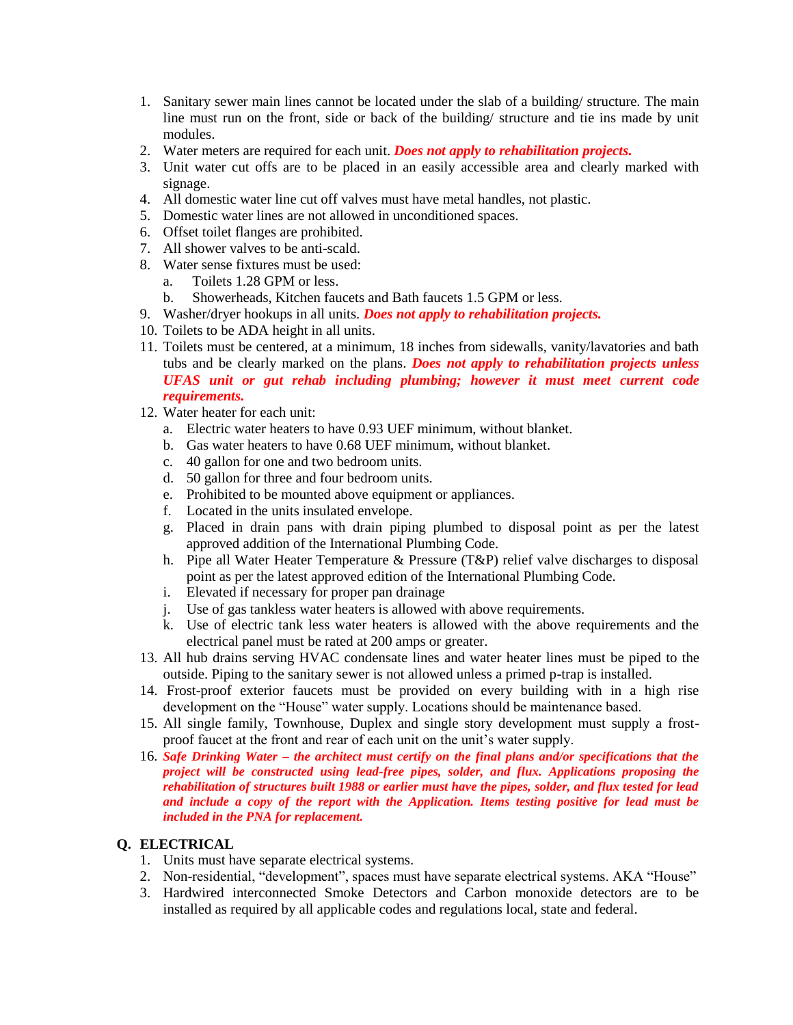- 1. Sanitary sewer main lines cannot be located under the slab of a building/ structure. The main line must run on the front, side or back of the building/ structure and tie ins made by unit modules.
- 2. Water meters are required for each unit. *Does not apply to rehabilitation projects.*
- 3. Unit water cut offs are to be placed in an easily accessible area and clearly marked with signage.
- 4. All domestic water line cut off valves must have metal handles, not plastic.
- 5. Domestic water lines are not allowed in unconditioned spaces.
- 6. Offset toilet flanges are prohibited.
- 7. All shower valves to be anti-scald.
- 8. Water sense fixtures must be used:
	- a. Toilets 1.28 GPM or less.
	- b. Showerheads, Kitchen faucets and Bath faucets 1.5 GPM or less.
- 9. Washer/dryer hookups in all units. *Does not apply to rehabilitation projects.*
- 10. Toilets to be ADA height in all units.
- 11. Toilets must be centered, at a minimum, 18 inches from sidewalls, vanity/lavatories and bath tubs and be clearly marked on the plans. *Does not apply to rehabilitation projects unless UFAS unit or gut rehab including plumbing; however it must meet current code requirements.*
- 12. Water heater for each unit:
	- a. Electric water heaters to have 0.93 UEF minimum, without blanket.
	- b. Gas water heaters to have 0.68 UEF minimum, without blanket.
	- c. 40 gallon for one and two bedroom units.
	- d. 50 gallon for three and four bedroom units.
	- e. Prohibited to be mounted above equipment or appliances.
	- f. Located in the units insulated envelope.
	- g. Placed in drain pans with drain piping plumbed to disposal point as per the latest approved addition of the International Plumbing Code.
	- h. Pipe all Water Heater Temperature & Pressure (T&P) relief valve discharges to disposal point as per the latest approved edition of the International Plumbing Code.
	- i. Elevated if necessary for proper pan drainage
	- j. Use of gas tankless water heaters is allowed with above requirements.
	- k. Use of electric tank less water heaters is allowed with the above requirements and the electrical panel must be rated at 200 amps or greater.
- 13. All hub drains serving HVAC condensate lines and water heater lines must be piped to the outside. Piping to the sanitary sewer is not allowed unless a primed p-trap is installed.
- 14. Frost-proof exterior faucets must be provided on every building with in a high rise development on the "House" water supply. Locations should be maintenance based.
- 15. All single family, Townhouse, Duplex and single story development must supply a frostproof faucet at the front and rear of each unit on the unit's water supply.
- 16. *Safe Drinking Water – the architect must certify on the final plans and/or specifications that the project will be constructed using lead-free pipes, solder, and flux. Applications proposing the rehabilitation of structures built 1988 or earlier must have the pipes, solder, and flux tested for lead and include a copy of the report with the Application. Items testing positive for lead must be included in the PNA for replacement.*

## **Q. ELECTRICAL**

- 1. Units must have separate electrical systems.
- 2. Non-residential, "development", spaces must have separate electrical systems. AKA "House"
- 3. Hardwired interconnected Smoke Detectors and Carbon monoxide detectors are to be installed as required by all applicable codes and regulations local, state and federal.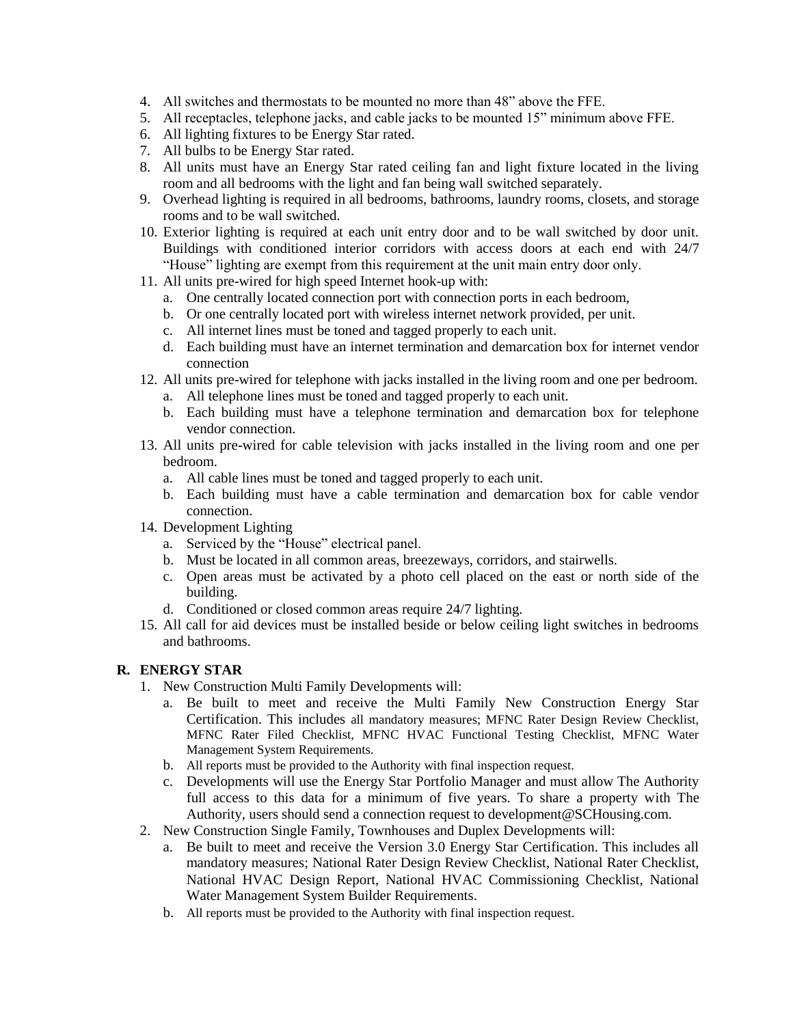- 4. All switches and thermostats to be mounted no more than 48" above the FFE.
- 5. All receptacles, telephone jacks, and cable jacks to be mounted 15" minimum above FFE.
- 6. All lighting fixtures to be Energy Star rated.
- 7. All bulbs to be Energy Star rated.
- 8. All units must have an Energy Star rated ceiling fan and light fixture located in the living room and all bedrooms with the light and fan being wall switched separately.
- 9. Overhead lighting is required in all bedrooms, bathrooms, laundry rooms, closets, and storage rooms and to be wall switched.
- 10. Exterior lighting is required at each unit entry door and to be wall switched by door unit. Buildings with conditioned interior corridors with access doors at each end with 24/7 "House" lighting are exempt from this requirement at the unit main entry door only.
- 11. All units pre-wired for high speed Internet hook-up with:
	- a. One centrally located connection port with connection ports in each bedroom,
	- b. Or one centrally located port with wireless internet network provided, per unit.
	- c. All internet lines must be toned and tagged properly to each unit.
	- d. Each building must have an internet termination and demarcation box for internet vendor connection
- 12. All units pre-wired for telephone with jacks installed in the living room and one per bedroom.
	- a. All telephone lines must be toned and tagged properly to each unit.
	- b. Each building must have a telephone termination and demarcation box for telephone vendor connection.
- 13. All units pre-wired for cable television with jacks installed in the living room and one per bedroom.
	- a. All cable lines must be toned and tagged properly to each unit.
	- b. Each building must have a cable termination and demarcation box for cable vendor connection.
- 14. Development Lighting
	- a. Serviced by the "House" electrical panel.
	- b. Must be located in all common areas, breezeways, corridors, and stairwells.
	- c. Open areas must be activated by a photo cell placed on the east or north side of the building.
	- d. Conditioned or closed common areas require 24/7 lighting.
- 15. All call for aid devices must be installed beside or below ceiling light switches in bedrooms and bathrooms.

### **R. ENERGY STAR**

- 1. New Construction Multi Family Developments will:
	- a. Be built to meet and receive the Multi Family New Construction Energy Star Certification. This includes all mandatory measures; MFNC Rater Design Review Checklist, MFNC Rater Filed Checklist, MFNC HVAC Functional Testing Checklist, MFNC Water Management System Requirements.
	- b. All reports must be provided to the Authority with final inspection request.
	- c. Developments will use the Energy Star Portfolio Manager and must allow The Authority full access to this data for a minimum of five years. To share a property with The Authority, users should send a connection request to development@SCHousing.com.
- 2. New Construction Single Family, Townhouses and Duplex Developments will:
	- a. Be built to meet and receive the Version 3.0 Energy Star Certification. This includes all mandatory measures; National Rater Design Review Checklist, National Rater Checklist, National HVAC Design Report, National HVAC Commissioning Checklist, National Water Management System Builder Requirements.
	- b. All reports must be provided to the Authority with final inspection request.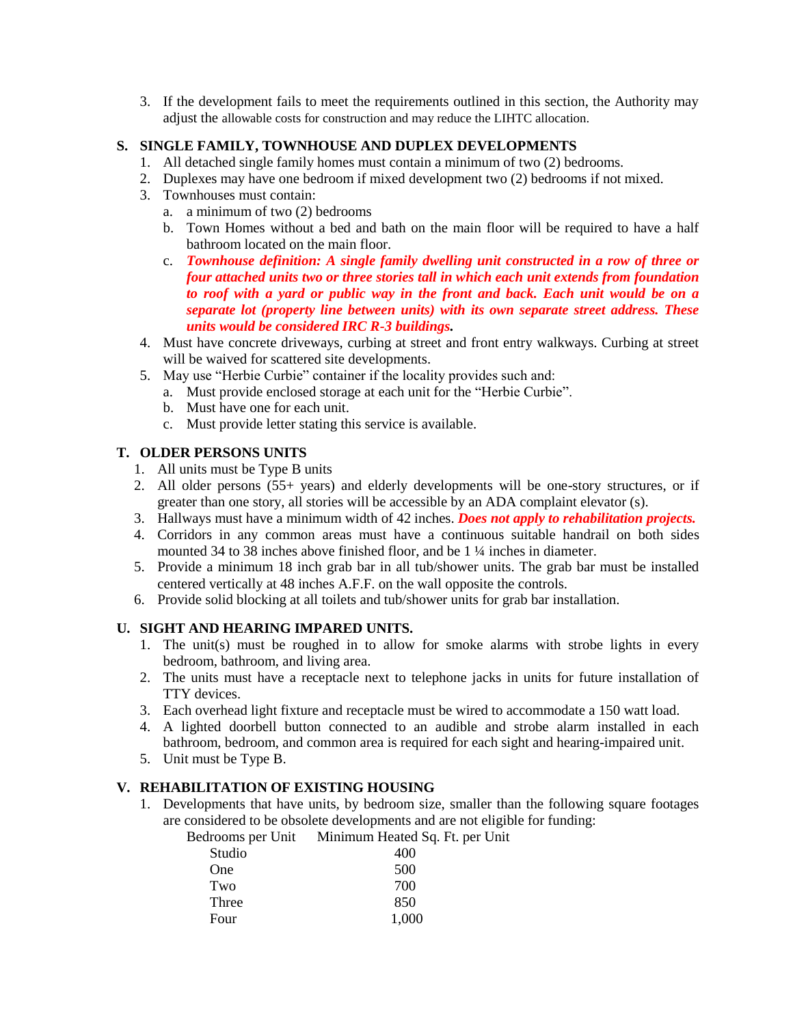3. If the development fails to meet the requirements outlined in this section, the Authority may adjust the allowable costs for construction and may reduce the LIHTC allocation.

### **S. SINGLE FAMILY, TOWNHOUSE AND DUPLEX DEVELOPMENTS**

- 1. All detached single family homes must contain a minimum of two (2) bedrooms.
- 2. Duplexes may have one bedroom if mixed development two (2) bedrooms if not mixed.
- 3. Townhouses must contain:
	- a. a minimum of two (2) bedrooms
	- b. Town Homes without a bed and bath on the main floor will be required to have a half bathroom located on the main floor.
	- c. *Townhouse definition: A single family dwelling unit constructed in a row of three or four attached units two or three stories tall in which each unit extends from foundation to roof with a yard or public way in the front and back. Each unit would be on a separate lot (property line between units) with its own separate street address. These units would be considered IRC R-3 buildings.*
- 4. Must have concrete driveways, curbing at street and front entry walkways. Curbing at street will be waived for scattered site developments.
- 5. May use "Herbie Curbie" container if the locality provides such and:
	- a. Must provide enclosed storage at each unit for the "Herbie Curbie".
	- b. Must have one for each unit.
	- c. Must provide letter stating this service is available.

### **T. OLDER PERSONS UNITS**

- 1. All units must be Type B units
- 2. All older persons (55+ years) and elderly developments will be one-story structures, or if greater than one story, all stories will be accessible by an ADA complaint elevator (s).
- 3. Hallways must have a minimum width of 42 inches. *Does not apply to rehabilitation projects.*
- 4. Corridors in any common areas must have a continuous suitable handrail on both sides mounted 34 to 38 inches above finished floor, and be 1 ¼ inches in diameter.
- 5. Provide a minimum 18 inch grab bar in all tub/shower units. The grab bar must be installed centered vertically at 48 inches A.F.F. on the wall opposite the controls.
- 6. Provide solid blocking at all toilets and tub/shower units for grab bar installation.

### **U. SIGHT AND HEARING IMPARED UNITS.**

- 1. The unit(s) must be roughed in to allow for smoke alarms with strobe lights in every bedroom, bathroom, and living area.
- 2. The units must have a receptacle next to telephone jacks in units for future installation of TTY devices.
- 3. Each overhead light fixture and receptacle must be wired to accommodate a 150 watt load.
- 4. A lighted doorbell button connected to an audible and strobe alarm installed in each bathroom, bedroom, and common area is required for each sight and hearing-impaired unit.
- 5. Unit must be Type B.

### **V. REHABILITATION OF EXISTING HOUSING**

1. Developments that have units, by bedroom size, smaller than the following square footages are considered to be obsolete developments and are not eligible for funding:

Bedrooms per Unit Minimum Heated Sq. Ft. per Unit

| Studio | 400   |
|--------|-------|
| One    | 500   |
| Two    | 700   |
| Three  | 850   |
| Four   | 1,000 |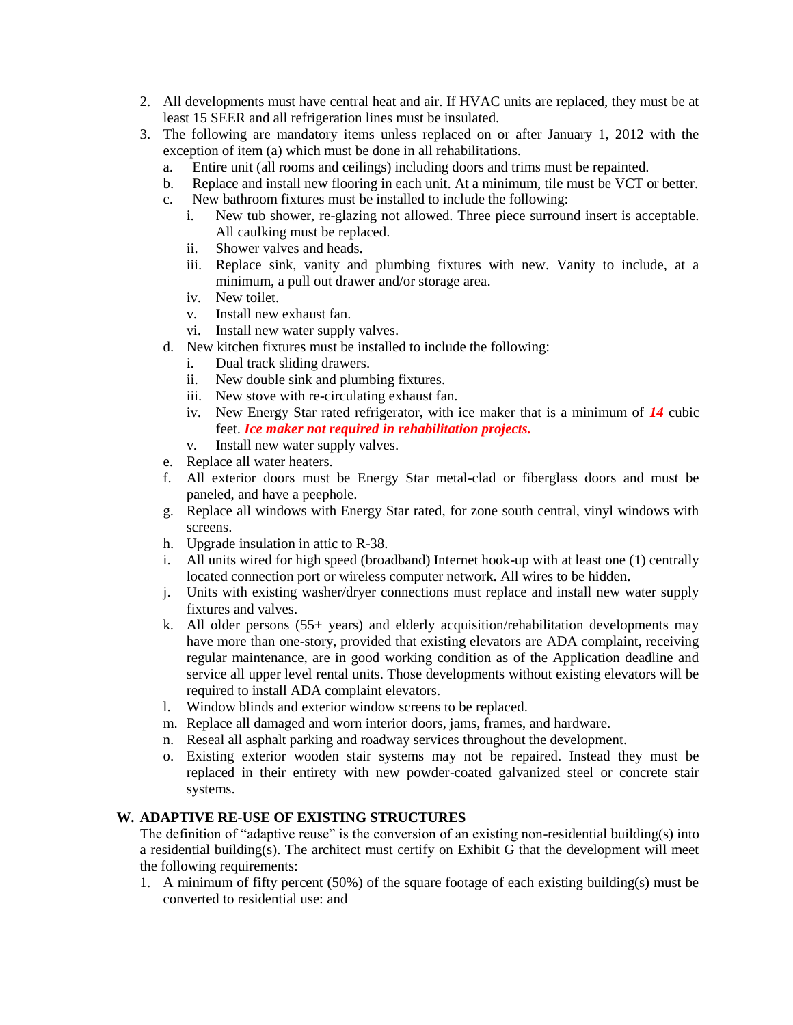- 2. All developments must have central heat and air. If HVAC units are replaced, they must be at least 15 SEER and all refrigeration lines must be insulated.
- 3. The following are mandatory items unless replaced on or after January 1, 2012 with the exception of item (a) which must be done in all rehabilitations.
	- a. Entire unit (all rooms and ceilings) including doors and trims must be repainted.
	- b. Replace and install new flooring in each unit. At a minimum, tile must be VCT or better.
	- c. New bathroom fixtures must be installed to include the following:
		- i. New tub shower, re-glazing not allowed. Three piece surround insert is acceptable. All caulking must be replaced.
		- ii. Shower valves and heads.
		- iii. Replace sink, vanity and plumbing fixtures with new. Vanity to include, at a minimum, a pull out drawer and/or storage area.
		- iv. New toilet.
		- v. Install new exhaust fan.
		- vi. Install new water supply valves.
	- d. New kitchen fixtures must be installed to include the following:
		- i. Dual track sliding drawers.
		- ii. New double sink and plumbing fixtures.
		- iii. New stove with re-circulating exhaust fan.
		- iv. New Energy Star rated refrigerator, with ice maker that is a minimum of *14* cubic feet. *Ice maker not required in rehabilitation projects.*
		- v. Install new water supply valves.
	- e. Replace all water heaters.
	- f. All exterior doors must be Energy Star metal-clad or fiberglass doors and must be paneled, and have a peephole.
	- g. Replace all windows with Energy Star rated, for zone south central, vinyl windows with screens.
	- h. Upgrade insulation in attic to R-38.
	- i. All units wired for high speed (broadband) Internet hook-up with at least one (1) centrally located connection port or wireless computer network. All wires to be hidden.
	- j. Units with existing washer/dryer connections must replace and install new water supply fixtures and valves.
	- k. All older persons (55+ years) and elderly acquisition/rehabilitation developments may have more than one-story, provided that existing elevators are ADA complaint, receiving regular maintenance, are in good working condition as of the Application deadline and service all upper level rental units. Those developments without existing elevators will be required to install ADA complaint elevators.
	- l. Window blinds and exterior window screens to be replaced.
	- m. Replace all damaged and worn interior doors, jams, frames, and hardware.
	- n. Reseal all asphalt parking and roadway services throughout the development.
	- o. Existing exterior wooden stair systems may not be repaired. Instead they must be replaced in their entirety with new powder-coated galvanized steel or concrete stair systems.

# **W. ADAPTIVE RE-USE OF EXISTING STRUCTURES**

The definition of "adaptive reuse" is the conversion of an existing non-residential building(s) into a residential building(s). The architect must certify on Exhibit G that the development will meet the following requirements:

1. A minimum of fifty percent (50%) of the square footage of each existing building(s) must be converted to residential use: and